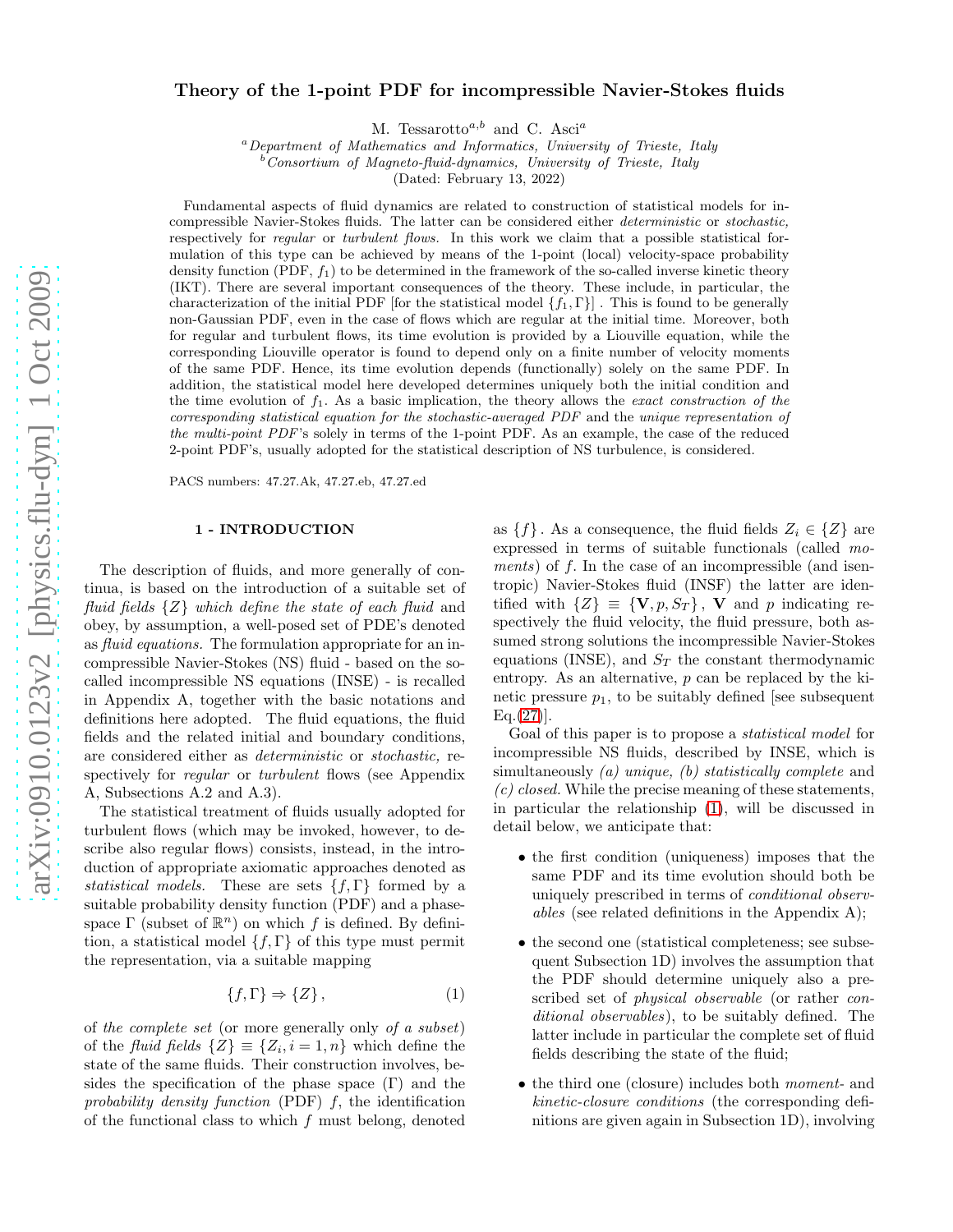# Theory of the 1-point PDF for incompressible Navier-Stokes fluids

M. Tessarotto<sup>a,b</sup> and C. Asci<sup>a</sup>

 ${}^{a}$ Department of Mathematics and Informatics, University of Trieste, Italy

Consortium of Magneto-fluid-dynamics, University of Trieste, Italy

(Dated: February 13, 2022)

Fundamental aspects of fluid dynamics are related to construction of statistical models for incompressible Navier-Stokes fluids. The latter can be considered either deterministic or stochastic, respectively for *regular* or *turbulent flows*. In this work we claim that a possible statistical formulation of this type can be achieved by means of the 1-point (local) velocity-space probability density function (PDF,  $f_1$ ) to be determined in the framework of the so-called inverse kinetic theory (IKT). There are several important consequences of the theory. These include, in particular, the characterization of the initial PDF [for the statistical model  $\{f_1, \Gamma\}$ ]. This is found to be generally non-Gaussian PDF, even in the case of flows which are regular at the initial time. Moreover, both for regular and turbulent flows, its time evolution is provided by a Liouville equation, while the corresponding Liouville operator is found to depend only on a finite number of velocity moments of the same PDF. Hence, its time evolution depends (functionally) solely on the same PDF. In addition, the statistical model here developed determines uniquely both the initial condition and the time evolution of  $f_1$ . As a basic implication, the theory allows the *exact construction of the* corresponding statistical equation for the stochastic-averaged PDF and the unique representation of the multi-point PDF's solely in terms of the 1-point PDF. As an example, the case of the reduced 2-point PDF's, usually adopted for the statistical description of NS turbulence, is considered.

PACS numbers: 47.27.Ak, 47.27.eb, 47.27.ed

### 1 - INTRODUCTION

The description of fluids, and more generally of continua, is based on the introduction of a suitable set of fluid fields  $\{Z\}$  which define the state of each fluid and obey, by assumption, a well-posed set of PDE's denoted as fluid equations. The formulation appropriate for an incompressible Navier-Stokes (NS) fluid - based on the socalled incompressible NS equations (INSE) - is recalled in Appendix A, together with the basic notations and definitions here adopted. The fluid equations, the fluid fields and the related initial and boundary conditions, are considered either as deterministic or stochastic, respectively for *regular* or *turbulent* flows (see Appendix A, Subsections A.2 and A.3).

The statistical treatment of fluids usually adopted for turbulent flows (which may be invoked, however, to describe also regular flows) consists, instead, in the introduction of appropriate axiomatic approaches denoted as statistical models. These are sets  $\{f, \Gamma\}$  formed by a suitable probability density function (PDF) and a phasespace  $\Gamma$  (subset of  $\mathbb{R}^n$ ) on which f is defined. By definition, a statistical model  $\{f, \Gamma\}$  of this type must permit the representation, via a suitable mapping

<span id="page-0-0"></span>
$$
\{f,\Gamma\} \Rightarrow \{Z\},\tag{1}
$$

of the complete set (or more generally only of a subset) of the *fluid fields*  $\{Z\} \equiv \{Z_i, i = 1, n\}$  which define the state of the same fluids. Their construction involves, besides the specification of the phase space  $(Γ)$  and the probability density function (PDF)  $f$ , the identification of the functional class to which  $f$  must belong, denoted as  $\{f\}$ . As a consequence, the fluid fields  $Z_i \in \{Z\}$  are expressed in terms of suitable functionals (called moments) of f. In the case of an incompressible (and isentropic) Navier-Stokes fluid (INSF) the latter are identified with  $\{Z\} \equiv \{V, p, S_T\}$ , V and p indicating respectively the fluid velocity, the fluid pressure, both assumed strong solutions the incompressible Navier-Stokes equations (INSE), and  $S_T$  the constant thermodynamic entropy. As an alternative, p can be replaced by the kinetic pressure  $p_1$ , to be suitably defined [see subsequent  $Eq.(27)$  $Eq.(27)$ ].

Goal of this paper is to propose a statistical model for incompressible NS fluids, described by INSE, which is simultaneously (a) unique, (b) statistically complete and  $(c) closed.$  While the precise meaning of these statements, in particular the relationship [\(1\)](#page-0-0), will be discussed in detail below, we anticipate that:

- the first condition (uniqueness) imposes that the same PDF and its time evolution should both be uniquely prescribed in terms of conditional observables (see related definitions in the Appendix A);
- the second one (statistical completeness; see subsequent Subsection 1D) involves the assumption that the PDF should determine uniquely also a prescribed set of physical observable (or rather conditional observables), to be suitably defined. The latter include in particular the complete set of fluid fields describing the state of the fluid;
- the third one (closure) includes both *moment* and kinetic-closure conditions (the corresponding definitions are given again in Subsection 1D), involving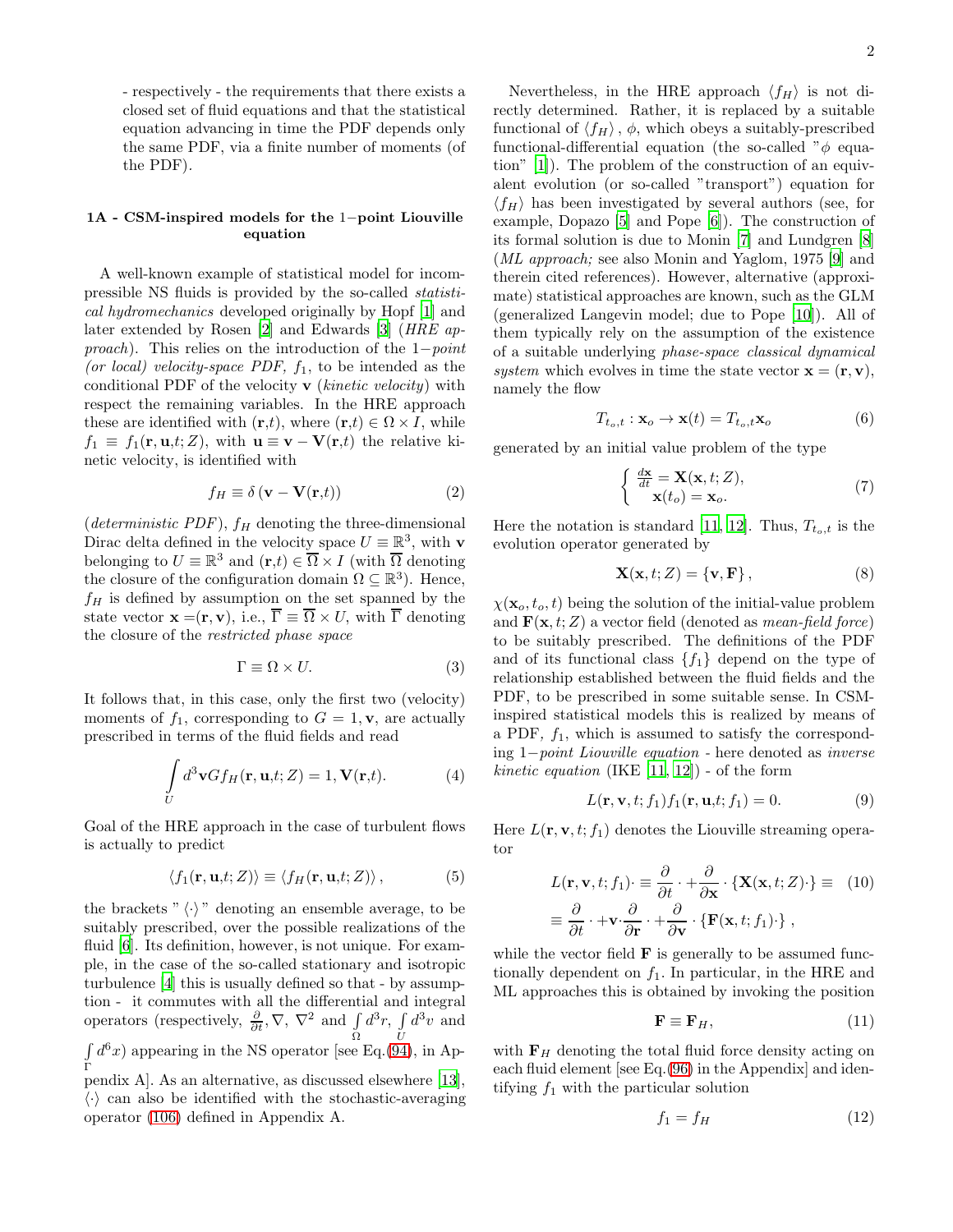- respectively - the requirements that there exists a closed set of fluid equations and that the statistical equation advancing in time the PDF depends only the same PDF, via a finite number of moments (of the PDF).

# 1A - CSM-inspired models for the 1−point Liouville equation

A well-known example of statistical model for incompressible NS fluids is provided by the so-called statistical hydromechanics developed originally by Hopf [\[1](#page-19-0)] and later extended by Rosen [\[2](#page-19-1)] and Edwards [\[3](#page-19-2)] (HRE approach). This relies on the introduction of the 1−point (or local) velocity-space PDF,  $f_1$ , to be intended as the conditional PDF of the velocity  $\bf{v}$  (*kinetic velocity*) with respect the remaining variables. In the HRE approach these are identified with  $(\mathbf{r},t)$ , where  $(\mathbf{r},t) \in \Omega \times I$ , while  $f_1 \equiv f_1(\mathbf{r}, \mathbf{u}, t; Z)$ , with  $\mathbf{u} \equiv \mathbf{v} - \mathbf{V}(\mathbf{r}, t)$  the relative kinetic velocity, is identified with

<span id="page-1-0"></span>
$$
f_H \equiv \delta \left( \mathbf{v} - \mathbf{V}(\mathbf{r}, t) \right) \tag{2}
$$

(deterministic PDF),  $f_H$  denoting the three-dimensional Dirac delta defined in the velocity space  $U \equiv \mathbb{R}^3$ , with **v** belonging to  $U \equiv \mathbb{R}^3$  and  $(\mathbf{r},t) \in \overline{\Omega} \times I$  (with  $\overline{\Omega}$  denoting the closure of the configuration domain  $\Omega \subseteq \mathbb{R}^3$ ). Hence,  $f_H$  is defined by assumption on the set spanned by the state vector  $\mathbf{x} = (\mathbf{r}, \mathbf{v})$ , i.e.,  $\overline{\Gamma} \equiv \overline{\Omega} \times U$ , with  $\overline{\Gamma}$  denoting the closure of the restricted phase space

<span id="page-1-6"></span>
$$
\Gamma \equiv \Omega \times U. \tag{3}
$$

It follows that, in this case, only the first two (velocity) moments of  $f_1$ , corresponding to  $G = 1$ , **v**, are actually prescribed in terms of the fluid fields and read

$$
\int_{U} d^{3} \mathbf{v} G f_{H}(\mathbf{r}, \mathbf{u}, t; Z) = 1, \mathbf{V}(\mathbf{r}, t).
$$
\n(4)

Goal of the HRE approach in the case of turbulent flows is actually to predict

<span id="page-1-1"></span>
$$
\langle f_1(\mathbf{r}, \mathbf{u}, t; Z) \rangle \equiv \langle f_H(\mathbf{r}, \mathbf{u}, t; Z) \rangle, \tag{5}
$$

the brackets " $\langle \cdot \rangle$ " denoting an ensemble average, to be suitably prescribed, over the possible realizations of the fluid [\[6\]](#page-19-3). Its definition, however, is not unique. For example, in the case of the so-called stationary and isotropic turbulence [\[4\]](#page-19-4) this is usually defined so that - by assumption - it commutes with all the differential and integral operators (respectively,  $\frac{\partial}{\partial t}$ ,  $\nabla$ ,  $\nabla^2$  and  $\int_{\Omega}$  $d^3r$ ,  $\int$ U  $d^3v$  and R Γ  $d^{6}x$ ) appearing in the NS operator [see Eq.[\(94\)](#page-16-0), in Appendix A]. As an alternative, as discussed elsewhere [\[13\]](#page-19-5),  $\langle \cdot \rangle$  can also be identified with the stochastic-averaging operator [\(106\)](#page-17-0) defined in Appendix A.

Nevertheless, in the HRE approach  $\langle f_H \rangle$  is not directly determined. Rather, it is replaced by a suitable functional of  $\langle f_H \rangle$ ,  $\phi$ , which obeys a suitably-prescribed functional-differential equation (the so-called  $"\phi$  equation" [\[1](#page-19-0)]). The problem of the construction of an equivalent evolution (or so-called "transport") equation for  $\langle f_H \rangle$  has been investigated by several authors (see, for example, Dopazo [\[5\]](#page-19-6) and Pope [\[6\]](#page-19-3)). The construction of its formal solution is due to Monin [\[7\]](#page-19-7) and Lundgren [\[8](#page-19-8)] (ML approach; see also Monin and Yaglom, 1975 [\[9](#page-19-9)] and therein cited references). However, alternative (approximate) statistical approaches are known, such as the GLM (generalized Langevin model; due to Pope [\[10](#page-19-10)]). All of them typically rely on the assumption of the existence of a suitable underlying phase-space classical dynamical system which evolves in time the state vector  $\mathbf{x} = (\mathbf{r}, \mathbf{v})$ , namely the flow

<span id="page-1-8"></span>
$$
T_{t_o,t}: \mathbf{x}_o \to \mathbf{x}(t) = T_{t_o,t} \mathbf{x}_o \tag{6}
$$

generated by an initial value problem of the type

<span id="page-1-7"></span>
$$
\begin{cases} \frac{d\mathbf{x}}{dt} = \mathbf{X}(\mathbf{x}, t; Z), \\ \mathbf{x}(t_o) = \mathbf{x}_o. \end{cases}
$$
 (7)

Here the notation is standard [\[11](#page-19-11), [12](#page-19-12)]. Thus,  $T_{t_o,t}$  is the evolution operator generated by

<span id="page-1-2"></span>
$$
\mathbf{X}(\mathbf{x},t;Z) = \{\mathbf{v},\mathbf{F}\},\tag{8}
$$

 $\chi(\mathbf{x}_o, t_o, t)$  being the solution of the initial-value problem and  $\mathbf{F}(\mathbf{x}, t; Z)$  a vector field (denoted as *mean-field force*) to be suitably prescribed. The definitions of the PDF and of its functional class  $\{f_1\}$  depend on the type of relationship established between the fluid fields and the PDF, to be prescribed in some suitable sense. In CSMinspired statistical models this is realized by means of a PDF,  $f_1$ , which is assumed to satisfy the corresponding 1−point Liouville equation - here denoted as inverse *kinetic equation* (IKE  $[11, 12]$  $[11, 12]$ ) - of the form

<span id="page-1-3"></span>
$$
L(\mathbf{r}, \mathbf{v}, t; f_1) f_1(\mathbf{r}, \mathbf{u}, t; f_1) = 0.
$$
 (9)

Here  $L(\mathbf{r}, \mathbf{v}, t; f_1)$  denotes the Liouville streaming operator

<span id="page-1-9"></span>
$$
L(\mathbf{r}, \mathbf{v}, t; f_1) \equiv \frac{\partial}{\partial t} \cdot + \frac{\partial}{\partial \mathbf{x}} \cdot \{ \mathbf{X}(\mathbf{x}, t; Z) \cdot \} \equiv (10)
$$
  

$$
\equiv \frac{\partial}{\partial t} \cdot + \mathbf{v} \cdot \frac{\partial}{\partial \mathbf{r}} \cdot + \frac{\partial}{\partial \mathbf{v}} \cdot \{ \mathbf{F}(\mathbf{x}, t; f_1) \cdot \},
$$

while the vector field  $\bf{F}$  is generally to be assumed functionally dependent on  $f_1$ . In particular, in the HRE and ML approaches this is obtained by invoking the position

<span id="page-1-4"></span>
$$
\mathbf{F} \equiv \mathbf{F}_H,\tag{11}
$$

with  $F_H$  denoting the total fluid force density acting on each fluid element [see Eq.[\(96\)](#page-16-1) in the Appendix] and identifying  $f_1$  with the particular solution

<span id="page-1-5"></span>
$$
f_1 = f_H \tag{12}
$$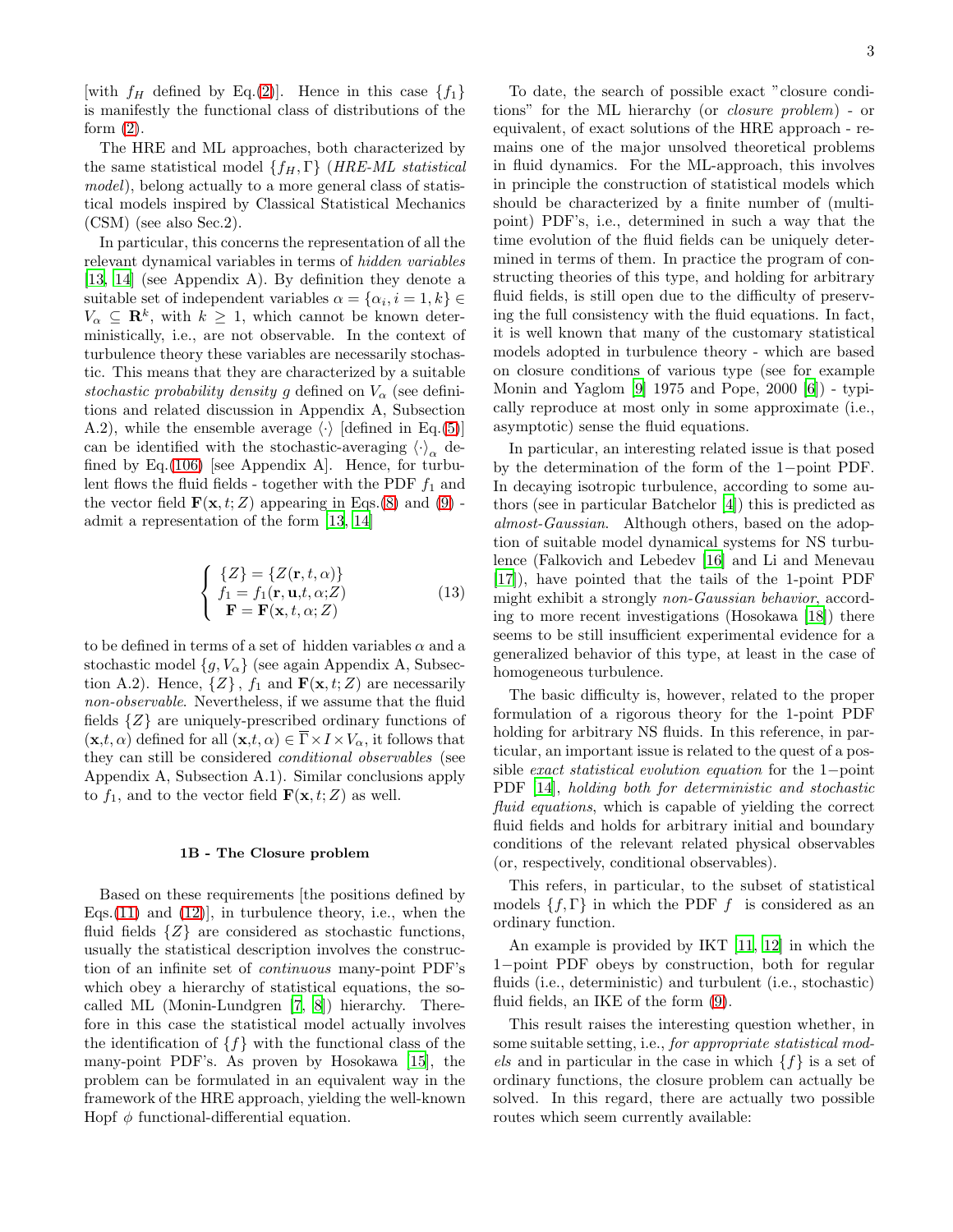[with  $f_H$  defined by Eq.[\(2\)](#page-1-0)]. Hence in this case  $\{f_1\}$ is manifestly the functional class of distributions of the form  $(2)$ .

The HRE and ML approaches, both characterized by the same statistical model  $\{f_H, \Gamma\}$  (HRE-ML statistical model), belong actually to a more general class of statistical models inspired by Classical Statistical Mechanics (CSM) (see also Sec.2).

In particular, this concerns the representation of all the relevant dynamical variables in terms of hidden variables [\[13,](#page-19-5) [14\]](#page-19-13) (see Appendix A). By definition they denote a suitable set of independent variables  $\alpha = \{\alpha_i, i = 1, k\} \in$  $V_{\alpha} \subseteq \mathbf{R}^{k}$ , with  $k \geq 1$ , which cannot be known deterministically, i.e., are not observable. In the context of turbulence theory these variables are necessarily stochastic. This means that they are characterized by a suitable stochastic probability density g defined on  $V_{\alpha}$  (see definitions and related discussion in Appendix A, Subsection A.2), while the ensemble average  $\langle \cdot \rangle$  [defined in Eq.[\(5\)](#page-1-1)] can be identified with the stochastic-averaging  $\langle \cdot \rangle_{\alpha}$  de-fined by Eq.[\(106\)](#page-17-0) [see Appendix A]. Hence, for turbulent flows the fluid fields - together with the PDF  $f_1$  and the vector field  $\mathbf{F}(\mathbf{x}, t; Z)$  appearing in Eqs.[\(8\)](#page-1-2) and [\(9\)](#page-1-3) admit a representation of the form [\[13](#page-19-5), [14](#page-19-13)]

<span id="page-2-0"></span>
$$
\begin{cases}\n\{Z\} = \{Z(\mathbf{r}, t, \alpha)\} \\
f_1 = f_1(\mathbf{r}, \mathbf{u}, t, \alpha; Z) \\
\mathbf{F} = \mathbf{F}(\mathbf{x}, t, \alpha; Z)\n\end{cases}
$$
\n(13)

to be defined in terms of a set of hidden variables  $\alpha$  and a stochastic model  $\{g, V_{\alpha}\}\$  (see again Appendix A, Subsection A.2). Hence,  $\{Z\}$ ,  $f_1$  and  $\mathbf{F}(\mathbf{x}, t; Z)$  are necessarily non-observable. Nevertheless, if we assume that the fluid fields {Z} are uniquely-prescribed ordinary functions of  $(\mathbf{x},t,\alpha)$  defined for all  $(\mathbf{x},t,\alpha) \in \overline{\Gamma} \times I \times V_\alpha$ , it follows that they can still be considered conditional observables (see Appendix A, Subsection A.1). Similar conclusions apply to  $f_1$ , and to the vector field  $\mathbf{F}(\mathbf{x}, t; Z)$  as well.

#### 1B - The Closure problem

Based on these requirements [the positions defined by Eqs. $(11)$  and  $(12)$ , in turbulence theory, i.e., when the fluid fields  $\{Z\}$  are considered as stochastic functions, usually the statistical description involves the construction of an infinite set of continuous many-point PDF's which obey a hierarchy of statistical equations, the socalled ML (Monin-Lundgren [\[7,](#page-19-7) [8\]](#page-19-8)) hierarchy. Therefore in this case the statistical model actually involves the identification of  $\{f\}$  with the functional class of the many-point PDF's. As proven by Hosokawa [\[15\]](#page-19-14), the problem can be formulated in an equivalent way in the framework of the HRE approach, yielding the well-known Hopf  $\phi$  functional-differential equation.

To date, the search of possible exact "closure conditions" for the ML hierarchy (or closure problem) - or equivalent, of exact solutions of the HRE approach - remains one of the major unsolved theoretical problems in fluid dynamics. For the ML-approach, this involves in principle the construction of statistical models which should be characterized by a finite number of (multipoint) PDF's, i.e., determined in such a way that the time evolution of the fluid fields can be uniquely determined in terms of them. In practice the program of constructing theories of this type, and holding for arbitrary fluid fields, is still open due to the difficulty of preserving the full consistency with the fluid equations. In fact, it is well known that many of the customary statistical models adopted in turbulence theory - which are based on closure conditions of various type (see for example Monin and Yaglom [\[9](#page-19-9)] 1975 and Pope, 2000 [\[6\]](#page-19-3)) - typically reproduce at most only in some approximate (i.e., asymptotic) sense the fluid equations.

In particular, an interesting related issue is that posed by the determination of the form of the 1−point PDF. In decaying isotropic turbulence, according to some authors (see in particular Batchelor [\[4](#page-19-4)]) this is predicted as almost-Gaussian. Although others, based on the adoption of suitable model dynamical systems for NS turbulence (Falkovich and Lebedev [\[16\]](#page-19-15) and Li and Menevau [17]), have pointed that the tails of the 1-point PDF might exhibit a strongly non-Gaussian behavior, according to more recent investigations (Hosokawa [\[18](#page-19-16)]) there seems to be still insufficient experimental evidence for a generalized behavior of this type, at least in the case of homogeneous turbulence.

The basic difficulty is, however, related to the proper formulation of a rigorous theory for the 1-point PDF holding for arbitrary NS fluids. In this reference, in particular, an important issue is related to the quest of a possible exact statistical evolution equation for the 1−point PDF [\[14\]](#page-19-13), holding both for deterministic and stochastic fluid equations, which is capable of yielding the correct fluid fields and holds for arbitrary initial and boundary conditions of the relevant related physical observables (or, respectively, conditional observables).

This refers, in particular, to the subset of statistical models  $\{f, \Gamma\}$  in which the PDF f is considered as an ordinary function.

An example is provided by IKT [\[11](#page-19-11), [12\]](#page-19-12) in which the 1−point PDF obeys by construction, both for regular fluids (i.e., deterministic) and turbulent (i.e., stochastic) fluid fields, an IKE of the form [\(9\)](#page-1-3).

This result raises the interesting question whether, in some suitable setting, i.e., for appropriate statistical models and in particular in the case in which  $\{f\}$  is a set of ordinary functions, the closure problem can actually be solved. In this regard, there are actually two possible routes which seem currently available: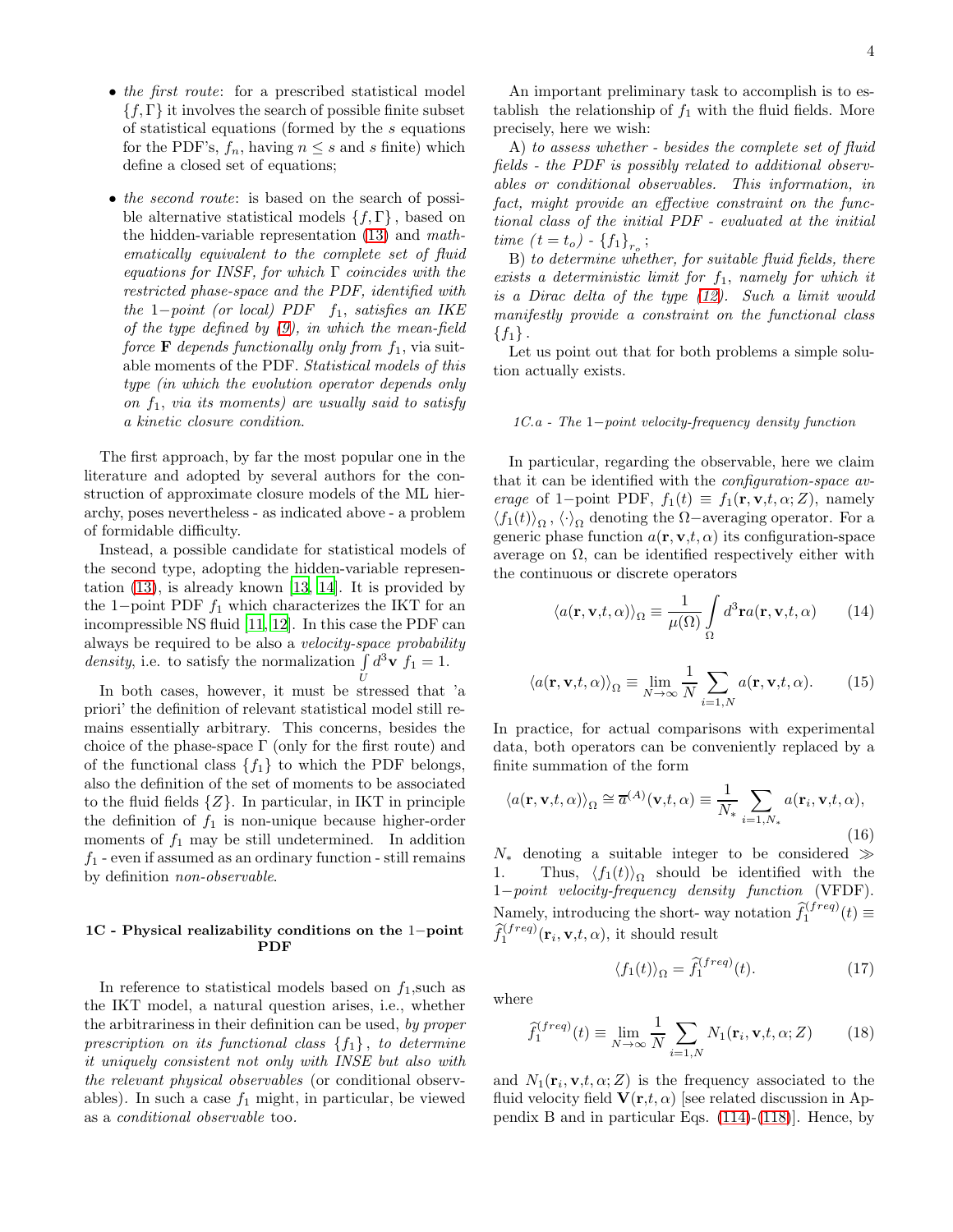- the first route: for a prescribed statistical model  $\{f,\Gamma\}$  it involves the search of possible finite subset of statistical equations (formed by the s equations for the PDF's,  $f_n$ , having  $n \leq s$  and s finite) which define a closed set of equations;
- the second route: is based on the search of possible alternative statistical models  $\{f,\Gamma\}$ , based on the hidden-variable representation [\(13\)](#page-2-0) and mathematically equivalent to the complete set of fluid equations for INSF, for which  $\Gamma$  coincides with the restricted phase-space and the PDF, identified with the  $1-point$  (or local) PDF f<sub>1</sub>, satisfies an IKE of the type defined by  $(9)$ , in which the mean-field force **F** depends functionally only from  $f_1$ , via suitable moments of the PDF. Statistical models of this type (in which the evolution operator depends only on  $f_1$ , via its moments) are usually said to satisfy a kinetic closure condition.

The first approach, by far the most popular one in the literature and adopted by several authors for the construction of approximate closure models of the ML hierarchy, poses nevertheless - as indicated above - a problem of formidable difficulty.

Instead, a possible candidate for statistical models of the second type, adopting the hidden-variable representation  $(13)$ , is already known  $[13, 14]$  $[13, 14]$ . It is provided by the 1−point PDF  $f_1$  which characterizes the IKT for an incompressible NS fluid [\[11,](#page-19-11) [12\]](#page-19-12). In this case the PDF can always be required to be also a velocity-space probability density, i.e. to satisfy the normalization  $\int d^3\mathbf{v} f_1 = 1$ .

In both cases, however, it must be stressed that 'a priori' the definition of relevant statistical model still remains essentially arbitrary. This concerns, besides the choice of the phase-space  $\Gamma$  (only for the first route) and of the functional class  $\{f_1\}$  to which the PDF belongs, also the definition of the set of moments to be associated to the fluid fields  $\{Z\}$ . In particular, in IKT in principle the definition of  $f_1$  is non-unique because higher-order moments of  $f_1$  may be still undetermined. In addition  $f_1$  - even if assumed as an ordinary function - still remains by definition non-observable.

# 1C - Physical realizability conditions on the 1−point PDF

In reference to statistical models based on  $f_1$ , such as the IKT model, a natural question arises, i.e., whether the arbitrariness in their definition can be used, by proper prescription on its functional class  $\{f_1\}$ , to determine it uniquely consistent not only with INSE but also with the relevant physical observables (or conditional observables). In such a case  $f_1$  might, in particular, be viewed as a conditional observable too.

An important preliminary task to accomplish is to establish the relationship of  $f_1$  with the fluid fields. More precisely, here we wish:

A) to assess whether - besides the complete set of fluid fields - the PDF is possibly related to additional observables or conditional observables. This information, in fact, might provide an effective constraint on the functional class of the initial PDF - evaluated at the initial  $time (t = t_o) - {f_1}_{r_o};$ 

B) to determine whether, for suitable fluid fields, there exists a deterministic limit for  $f_1$ , namely for which it is a Dirac delta of the type [\(12\)](#page-1-5). Such a limit would manifestly provide a constraint on the functional class  ${f_1}$ .

Let us point out that for both problems a simple solution actually exists.

### 1C.a - The 1−point velocity-frequency density function

In particular, regarding the observable, here we claim that it can be identified with the configuration-space average of 1−point PDF,  $f_1(t) \equiv f_1(\mathbf{r}, \mathbf{v}, t, \alpha; Z)$ , namely  $\langle f_1(t) \rangle_{\Omega}, \langle \cdot \rangle_{\Omega}$  denoting the  $\Omega$ –averaging operator. For a generic phase function  $a(\mathbf{r}, \mathbf{v}, t, \alpha)$  its configuration-space average on  $\Omega$ , can be identified respectively either with the continuous or discrete operators

<span id="page-3-2"></span>
$$
\langle a(\mathbf{r}, \mathbf{v}, t, \alpha) \rangle_{\Omega} \equiv \frac{1}{\mu(\Omega)} \int_{\Omega} d^3 \mathbf{r} a(\mathbf{r}, \mathbf{v}, t, \alpha) \qquad (14)
$$

$$
\langle a(\mathbf{r}, \mathbf{v}, t, \alpha) \rangle_{\Omega} \equiv \lim_{N \to \infty} \frac{1}{N} \sum_{i=1, N} a(\mathbf{r}, \mathbf{v}, t, \alpha). \tag{15}
$$

In practice, for actual comparisons with experimental data, both operators can be conveniently replaced by a finite summation of the form

<span id="page-3-1"></span>
$$
\langle a(\mathbf{r}, \mathbf{v}, t, \alpha) \rangle_{\Omega} \cong \overline{a}^{(A)}(\mathbf{v}, t, \alpha) \equiv \frac{1}{N_*} \sum_{i=1, N_*} a(\mathbf{r}_i, \mathbf{v}, t, \alpha),
$$
\n(16)

 $N_*$  denoting a suitable integer to be considered  $\gg$ 1. Thus,  $\langle f_1(t) \rangle_{\Omega}$  should be identified with the 1−point velocity-frequency density function (VFDF). Namely, introducing the short-way notation  $\hat{f}_1^{(freq)}(t) \equiv$  $\widehat{f}_1^{(freq)}(\mathbf{r}_i, \mathbf{v}, t, \alpha)$ , it should result

<span id="page-3-0"></span>
$$
\langle f_1(t) \rangle_{\Omega} = \hat{f}_1^{(freq)}(t). \tag{17}
$$

where

<span id="page-3-3"></span>
$$
\hat{f}_1^{(freq)}(t) \equiv \lim_{N \to \infty} \frac{1}{N} \sum_{i=1,N} N_1(\mathbf{r}_i, \mathbf{v}, t, \alpha; Z)
$$
(18)

and  $N_1(\mathbf{r}_i, \mathbf{v}, t, \alpha; Z)$  is the frequency associated to the fluid velocity field  $V(r,t,\alpha)$  [see related discussion in Appendix B and in particular Eqs. [\(114\)](#page-18-0)-[\(118\)](#page-18-1)]. Hence, by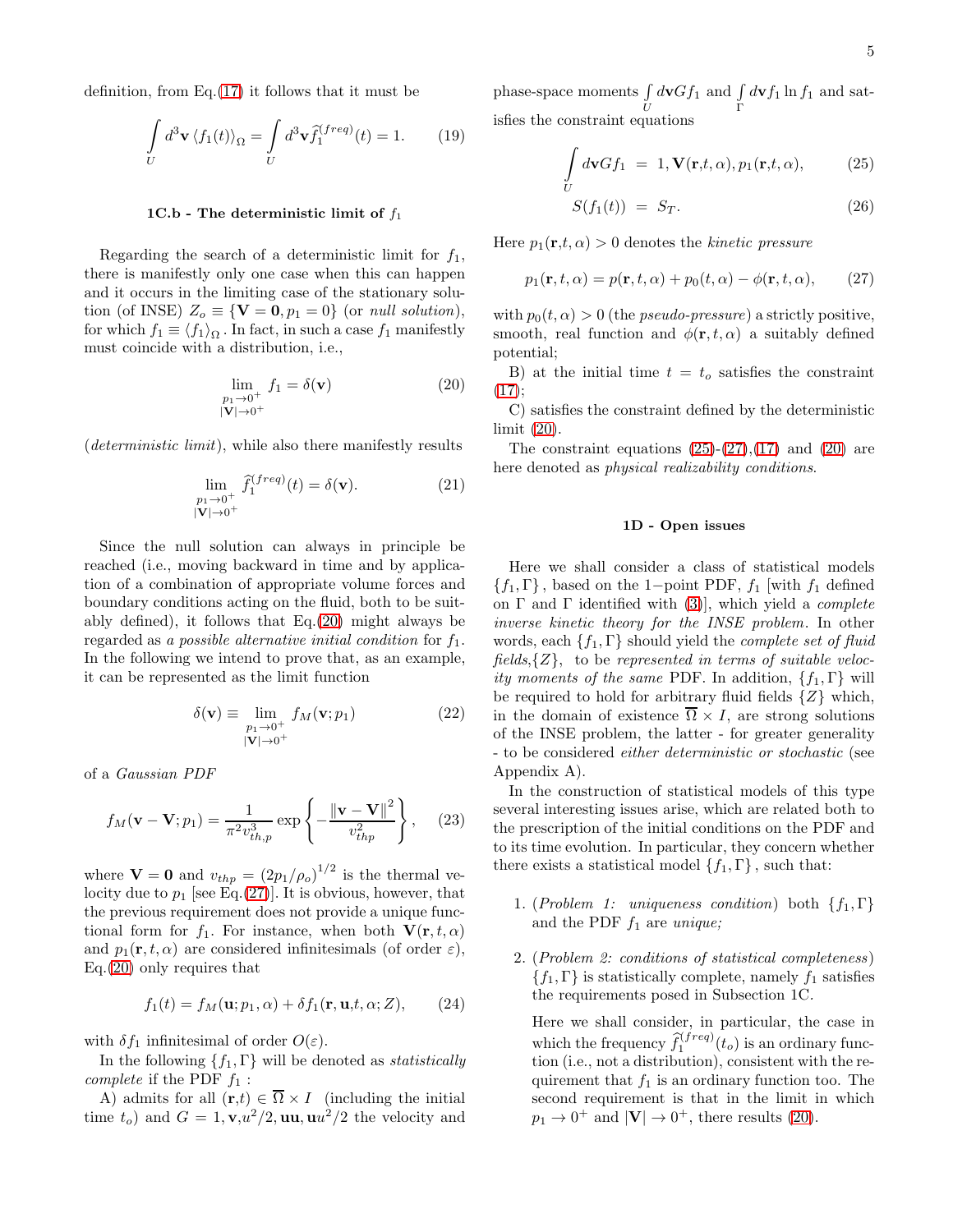definition, from  $Eq.(17)$  $Eq.(17)$  it follows that it must be

<span id="page-4-5"></span>
$$
\int\limits_{U} d^3 \mathbf{v} \langle f_1(t) \rangle_{\Omega} = \int\limits_{U} d^3 \mathbf{v} \hat{f}_1^{(freq)}(t) = 1.
$$
 (19)

### 1C.b - The deterministic limit of  $f_1$

Regarding the search of a deterministic limit for  $f_1$ , there is manifestly only one case when this can happen and it occurs in the limiting case of the stationary solution (of INSE)  $Z_o \equiv \{V = 0, p_1 = 0\}$  (or *null solution*), for which  $f_1 \equiv \langle f_1 \rangle_{\Omega}$ . In fact, in such a case  $f_1$  manifestly must coincide with a distribution, i.e.,

<span id="page-4-1"></span>
$$
\lim_{\substack{p_1 \to 0^+ \\ |\mathbf{V}| \to 0^+}} f_1 = \delta(\mathbf{v}) \tag{20}
$$

(deterministic limit), while also there manifestly results

<span id="page-4-4"></span>
$$
\lim_{\substack{p_1 \to 0^+ \\ |\mathbf{V}| \to 0^+}} \hat{f}_1^{(freq)}(t) = \delta(\mathbf{v}).\tag{21}
$$

Since the null solution can always in principle be reached (i.e., moving backward in time and by application of a combination of appropriate volume forces and boundary conditions acting on the fluid, both to be suitably defined), it follows that Eq.[\(20\)](#page-4-1) might always be regarded as a possible alternative initial condition for  $f_1$ . In the following we intend to prove that, as an example, it can be represented as the limit function

$$
\delta(\mathbf{v}) \equiv \lim_{\substack{p_1 \to 0^+ \\ |\mathbf{V}| \to 0^+}} f_M(\mathbf{v}; p_1)
$$
(22)

of a Gaussian PDF

<span id="page-4-3"></span>
$$
f_M(\mathbf{v} - \mathbf{V}; p_1) = \frac{1}{\pi^2 v_{th,p}^3} \exp\left\{-\frac{\left\|\mathbf{v} - \mathbf{V}\right\|^2}{v_{thp}^2}\right\},\qquad(23)
$$

where  $\mathbf{V} = \mathbf{0}$  and  $v_{thp} = (2p_1/\rho_o)^{1/2}$  is the thermal velocity due to  $p_1$  [see Eq.[\(27\)](#page-4-0)]. It is obvious, however, that the previous requirement does not provide a unique functional form for  $f_1$ . For instance, when both  $\mathbf{V}(\mathbf{r}, t, \alpha)$ and  $p_1(\mathbf{r}, t, \alpha)$  are considered infinitesimals (of order  $\varepsilon$ ), Eq.[\(20\)](#page-4-1) only requires that

$$
f_1(t) = f_M(\mathbf{u}; p_1, \alpha) + \delta f_1(\mathbf{r}, \mathbf{u}, t, \alpha; Z), \qquad (24)
$$

with  $\delta f_1$  infinitesimal of order  $O(\varepsilon)$ .

In the following  $\{f_1, \Gamma\}$  will be denoted as *statistically complete* if the PDF  $f_1$ :

A) admits for all  $(\mathbf{r},t) \in \overline{\Omega} \times I$  (including the initial time  $t_o$ ) and  $G = 1$ ,  $\mathbf{v}, u^2/2$ , uu,  $\mathbf{u} u^2/2$  the velocity and

phase-space moments  $\int$ U  $d\n**v**Gf<sub>1</sub>$  and  $\int$ Γ  $d\n**v** f<sub>1</sub>$  ln  $f<sub>1</sub>$  and satisfies the constraint equations

<span id="page-4-2"></span>
$$
\int\limits_U d\mathbf{v} G f_1 = 1, \mathbf{V}(\mathbf{r}, t, \alpha), p_1(\mathbf{r}, t, \alpha), \quad (25)
$$

$$
S(f_1(t)) = S_T. \tag{26}
$$

Here  $p_1(\mathbf{r},t,\alpha) > 0$  denotes the kinetic pressure

<span id="page-4-0"></span>
$$
p_1(\mathbf{r}, t, \alpha) = p(\mathbf{r}, t, \alpha) + p_0(t, \alpha) - \phi(\mathbf{r}, t, \alpha), \qquad (27)
$$

with  $p_0(t, \alpha) > 0$  (the *pseudo-pressure*) a strictly positive, smooth, real function and  $\phi(\mathbf{r}, t, \alpha)$  a suitably defined potential;

B) at the initial time  $t = t_o$  satisfies the constraint  $(17);$  $(17);$ 

C) satisfies the constraint defined by the deterministic limit [\(20\)](#page-4-1).

The constraint equations  $(25)-(27),(17)$  $(25)-(27),(17)$  $(25)-(27),(17)$  $(25)-(27),(17)$  and  $(20)$  are here denoted as *physical realizability conditions*.

#### 1D - Open issues

Here we shall consider a class of statistical models  ${f_1, \Gamma}$ , based on the 1−point PDF,  $f_1$  with  $f_1$  defined on  $\Gamma$  and  $\Gamma$  identified with [\(3\)](#page-1-6), which yield a *complete* inverse kinetic theory for the INSE problem. In other words, each  $\{f_1, \Gamma\}$  should yield the *complete set of fluid* fields, $\{Z\}$ , to be represented in terms of suitable velocity moments of the same PDF. In addition,  $\{f_1, \Gamma\}$  will be required to hold for arbitrary fluid fields  $\{Z\}$  which, in the domain of existence  $\Omega \times I$ , are strong solutions of the INSE problem, the latter - for greater generality - to be considered either deterministic or stochastic (see Appendix A).

In the construction of statistical models of this type several interesting issues arise, which are related both to the prescription of the initial conditions on the PDF and to its time evolution. In particular, they concern whether there exists a statistical model  $\{f_1, \Gamma\}$ , such that:

- 1. (Problem 1: uniqueness condition) both  $\{f_1, \Gamma\}$ and the PDF  $f_1$  are unique;
- 2. (Problem 2: conditions of statistical completeness)  ${f_1, \Gamma}$  is statistically complete, namely  $f_1$  satisfies the requirements posed in Subsection 1C.

Here we shall consider, in particular, the case in which the frequency  $\widehat{f}_1^{(freq)}(t_o)$  is an ordinary function (i.e., not a distribution), consistent with the requirement that  $f_1$  is an ordinary function too. The second requirement is that in the limit in which  $p_1 \rightarrow 0^+$  and  $|\mathbf{V}| \rightarrow 0^+$ , there results [\(20\)](#page-4-1).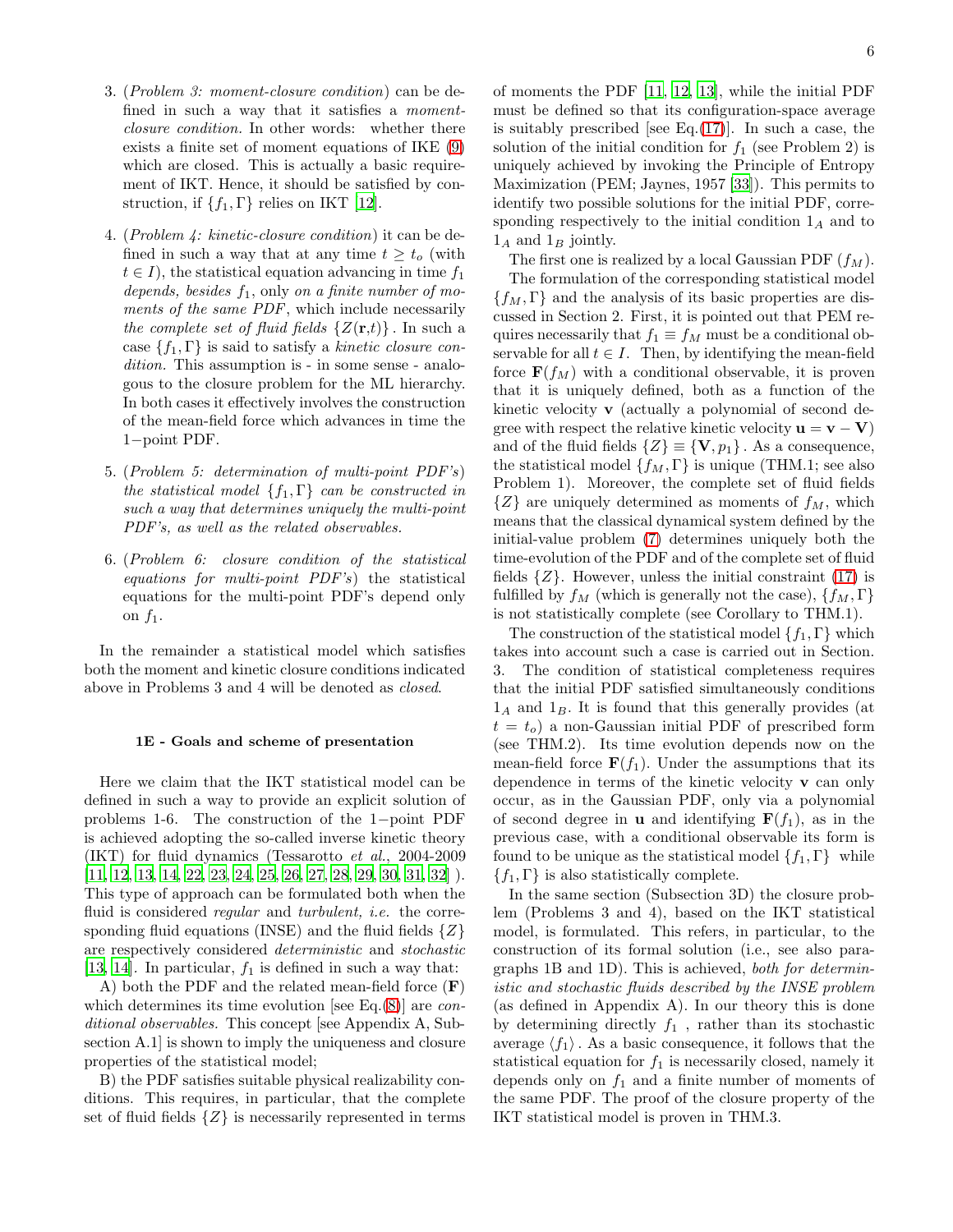- 3. (Problem 3: moment-closure condition) can be defined in such a way that it satisfies a momentclosure condition. In other words: whether there exists a finite set of moment equations of IKE [\(9\)](#page-1-3) which are closed. This is actually a basic requirement of IKT. Hence, it should be satisfied by construction, if  $\{f_1, \Gamma\}$  relies on IKT [\[12](#page-19-12)].
- 4. (Problem 4: kinetic-closure condition) it can be defined in such a way that at any time  $t \geq t_o$  (with  $t \in I$ , the statistical equation advancing in time  $f_1$ depends, besides  $f_1$ , only on a finite number of moments of the same PDF, which include necessarily the complete set of fluid fields  $\{Z(\mathbf{r},t)\}\)$ . In such a case  $\{f_1, \Gamma\}$  is said to satisfy a kinetic closure condition. This assumption is - in some sense - analogous to the closure problem for the ML hierarchy. In both cases it effectively involves the construction of the mean-field force which advances in time the 1−point PDF.
- 5. (Problem 5: determination of multi-point PDF's) the statistical model  $\{f_1, \Gamma\}$  can be constructed in such a way that determines uniquely the multi-point PDF's, as well as the related observables.
- 6. (Problem 6: closure condition of the statistical equations for multi-point PDF's) the statistical equations for the multi-point PDF's depend only on  $f_1$ .

In the remainder a statistical model which satisfies both the moment and kinetic closure conditions indicated above in Problems 3 and 4 will be denoted as closed.

# 1E - Goals and scheme of presentation

Here we claim that the IKT statistical model can be defined in such a way to provide an explicit solution of problems 1-6. The construction of the 1−point PDF is achieved adopting the so-called inverse kinetic theory (IKT) for fluid dynamics (Tessarotto et al., 2004-2009 [\[11,](#page-19-11) [12,](#page-19-12) [13](#page-19-5), [14,](#page-19-13) [22,](#page-19-17) [23](#page-19-18), [24](#page-19-19), [25,](#page-19-20) [26,](#page-19-21) [27](#page-19-22), [28,](#page-19-23) [29,](#page-19-24) [30](#page-19-25), [31](#page-20-0), [32\]](#page-20-1) ). This type of approach can be formulated both when the fluid is considered *regular* and *turbulent*, *i.e.* the corresponding fluid equations (INSE) and the fluid fields  $\{Z\}$ are respectively considered deterministic and stochastic [\[13,](#page-19-5) [14\]](#page-19-13). In particular,  $f_1$  is defined in such a way that:

A) both the PDF and the related mean-field force  $(F)$ which determines its time evolution [see Eq.[\(8\)](#page-1-2)] are *con*ditional observables. This concept [see Appendix A, Subsection A.1] is shown to imply the uniqueness and closure properties of the statistical model;

B) the PDF satisfies suitable physical realizability conditions. This requires, in particular, that the complete set of fluid fields  $\{Z\}$  is necessarily represented in terms

of moments the PDF [\[11](#page-19-11), [12,](#page-19-12) [13](#page-19-5)], while the initial PDF must be defined so that its configuration-space average is suitably prescribed [see Eq. $(17)$ ]. In such a case, the solution of the initial condition for  $f_1$  (see Problem 2) is uniquely achieved by invoking the Principle of Entropy Maximization (PEM; Jaynes, 1957 [\[33\]](#page-20-2)). This permits to identify two possible solutions for the initial PDF, corresponding respectively to the initial condition  $1_A$  and to  $1_A$  and  $1_B$  jointly.

The first one is realized by a local Gaussian PDF  $(f_M)$ .

The formulation of the corresponding statistical model  ${f_M, \Gamma}$  and the analysis of its basic properties are discussed in Section 2. First, it is pointed out that PEM requires necessarily that  $f_1 \equiv f_M$  must be a conditional observable for all  $t \in I$ . Then, by identifying the mean-field force  $\mathbf{F}(f_M)$  with a conditional observable, it is proven that it is uniquely defined, both as a function of the kinetic velocity v (actually a polynomial of second degree with respect the relative kinetic velocity  $\mathbf{u} = \mathbf{v} - \mathbf{V}$ ) and of the fluid fields  $\{Z\} \equiv \{V, p_1\}$ . As a consequence, the statistical model  $\{f_M, \Gamma\}$  is unique (THM.1; see also Problem 1). Moreover, the complete set of fluid fields  $\{Z\}$  are uniquely determined as moments of  $f_M$ , which means that the classical dynamical system defined by the initial-value problem [\(7\)](#page-1-7) determines uniquely both the time-evolution of the PDF and of the complete set of fluid fields  $\{Z\}$ . However, unless the initial constraint  $(17)$  is fulfilled by  $f_M$  (which is generally not the case),  $\{f_M, \Gamma\}$ is not statistically complete (see Corollary to THM.1).

The construction of the statistical model  $\{f_1, \Gamma\}$  which takes into account such a case is carried out in Section. 3. The condition of statistical completeness requires that the initial PDF satisfied simultaneously conditions  $1_A$  and  $1_B$ . It is found that this generally provides (at  $t = t_o$ ) a non-Gaussian initial PDF of prescribed form (see THM.2). Its time evolution depends now on the mean-field force  $\mathbf{F}(f_1)$ . Under the assumptions that its dependence in terms of the kinetic velocity v can only occur, as in the Gaussian PDF, only via a polynomial of second degree in **u** and identifying  $F(f_1)$ , as in the previous case, with a conditional observable its form is found to be unique as the statistical model  $\{f_1, \Gamma\}$  while  ${f_1, \Gamma}$  is also statistically complete.

In the same section (Subsection 3D) the closure problem (Problems 3 and 4), based on the IKT statistical model, is formulated. This refers, in particular, to the construction of its formal solution (i.e., see also paragraphs 1B and 1D). This is achieved, both for deterministic and stochastic fluids described by the INSE problem (as defined in Appendix A). In our theory this is done by determining directly  $f_1$ , rather than its stochastic average  $\langle f_1 \rangle$ . As a basic consequence, it follows that the statistical equation for  $f_1$  is necessarily closed, namely it depends only on  $f_1$  and a finite number of moments of the same PDF. The proof of the closure property of the IKT statistical model is proven in THM.3.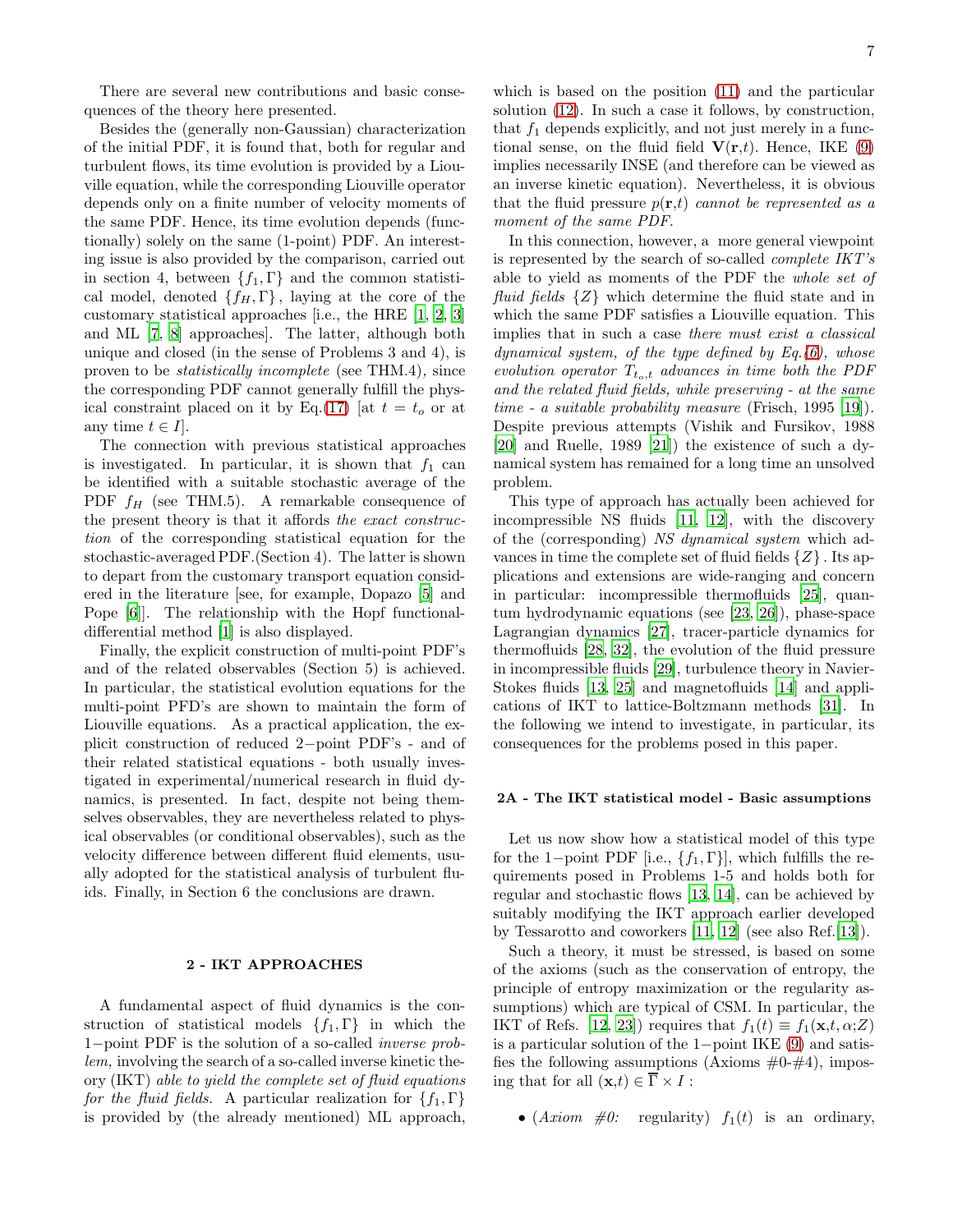There are several new contributions and basic consequences of the theory here presented.

Besides the (generally non-Gaussian) characterization of the initial PDF, it is found that, both for regular and turbulent flows, its time evolution is provided by a Liouville equation, while the corresponding Liouville operator depends only on a finite number of velocity moments of the same PDF. Hence, its time evolution depends (functionally) solely on the same (1-point) PDF. An interesting issue is also provided by the comparison, carried out in section 4, between  $\{f_1, \Gamma\}$  and the common statistical model, denoted  $\{f_H, \Gamma\}$ , laying at the core of the customary statistical approaches [i.e., the HRE [\[1](#page-19-0), [2,](#page-19-1) [3](#page-19-2)] and ML [\[7](#page-19-7), [8\]](#page-19-8) approaches]. The latter, although both unique and closed (in the sense of Problems 3 and 4), is proven to be statistically incomplete (see THM.4), since the corresponding PDF cannot generally fulfill the phys-ical constraint placed on it by Eq.[\(17\)](#page-3-0) [at  $t = t_o$  or at any time  $t \in I$ .

The connection with previous statistical approaches is investigated. In particular, it is shown that  $f_1$  can be identified with a suitable stochastic average of the PDF  $f_H$  (see THM.5). A remarkable consequence of the present theory is that it affords the exact construction of the corresponding statistical equation for the stochastic-averaged PDF.(Section 4). The latter is shown to depart from the customary transport equation considered in the literature [see, for example, Dopazo [\[5](#page-19-6)] and Pope [\[6](#page-19-3)]]. The relationship with the Hopf functionaldifferential method [\[1\]](#page-19-0) is also displayed.

Finally, the explicit construction of multi-point PDF's and of the related observables (Section 5) is achieved. In particular, the statistical evolution equations for the multi-point PFD's are shown to maintain the form of Liouville equations. As a practical application, the explicit construction of reduced 2−point PDF's - and of their related statistical equations - both usually investigated in experimental/numerical research in fluid dynamics, is presented. In fact, despite not being themselves observables, they are nevertheless related to physical observables (or conditional observables), such as the velocity difference between different fluid elements, usually adopted for the statistical analysis of turbulent fluids. Finally, in Section 6 the conclusions are drawn.

#### 2 - IKT APPROACHES

A fundamental aspect of fluid dynamics is the construction of statistical models  $\{f_1, \Gamma\}$  in which the 1−point PDF is the solution of a so-called inverse problem, involving the search of a so-called inverse kinetic theory (IKT) able to yield the complete set of fluid equations for the fluid fields. A particular realization for  $\{f_1, \Gamma\}$ is provided by (the already mentioned) ML approach,

which is based on the position [\(11\)](#page-1-4) and the particular solution [\(12\)](#page-1-5). In such a case it follows, by construction, that  $f_1$  depends explicitly, and not just merely in a functional sense, on the fluid field  $V(r,t)$ . Hence, IKE [\(9\)](#page-1-3) implies necessarily INSE (and therefore can be viewed as an inverse kinetic equation). Nevertheless, it is obvious that the fluid pressure  $p(\mathbf{r},t)$  cannot be represented as a moment of the same PDF.

In this connection, however, a more general viewpoint is represented by the search of so-called complete IKT's able to yield as moments of the PDF the whole set of fluid fields  $\{Z\}$  which determine the fluid state and in which the same PDF satisfies a Liouville equation. This implies that in such a case there must exist a classical dynamical system, of the type defined by  $Eq.(6)$  $Eq.(6)$ , whose evolution operator  $T_{t_o,t}$  advances in time both the PDF and the related fluid fields, while preserving - at the same time - a suitable probability measure (Frisch, 1995 [\[19](#page-19-26)]). Despite previous attempts (Vishik and Fursikov, 1988 [\[20\]](#page-19-27) and Ruelle, 1989 [\[21](#page-19-28)]) the existence of such a dynamical system has remained for a long time an unsolved problem.

This type of approach has actually been achieved for incompressible NS fluids [\[11,](#page-19-11) [12\]](#page-19-12), with the discovery of the (corresponding) NS dynamical system which advances in time the complete set of fluid fields  $\{Z\}$ . Its applications and extensions are wide-ranging and concern in particular: incompressible thermofluids [\[25\]](#page-19-20), quantum hydrodynamic equations (see [\[23,](#page-19-18) [26\]](#page-19-21)), phase-space Lagrangian dynamics [\[27\]](#page-19-22), tracer-particle dynamics for thermofluids [\[28,](#page-19-23) [32](#page-20-1)], the evolution of the fluid pressure in incompressible fluids [\[29](#page-19-24)], turbulence theory in Navier-Stokes fluids [\[13,](#page-19-5) [25\]](#page-19-20) and magnetofluids [\[14](#page-19-13)] and applications of IKT to lattice-Boltzmann methods [\[31\]](#page-20-0). In the following we intend to investigate, in particular, its consequences for the problems posed in this paper.

## 2A - The IKT statistical model - Basic assumptions

Let us now show how a statistical model of this type for the 1−point PDF [i.e.,  $\{f_1, \Gamma\}$ ], which fulfills the requirements posed in Problems 1-5 and holds both for regular and stochastic flows [\[13](#page-19-5), [14](#page-19-13)], can be achieved by suitably modifying the IKT approach earlier developed by Tessarotto and coworkers [\[11,](#page-19-11) [12](#page-19-12)] (see also Ref.[\[13\]](#page-19-5)).

Such a theory, it must be stressed, is based on some of the axioms (such as the conservation of entropy, the principle of entropy maximization or the regularity assumptions) which are typical of CSM. In particular, the IKT of Refs. [\[12](#page-19-12), [23\]](#page-19-18)) requires that  $f_1(t) \equiv f_1(\mathbf{x}, t, \alpha; Z)$ is a particular solution of the 1−point IKE [\(9\)](#page-1-3) and satisfies the following assumptions (Axioms  $\#0-\#4$ ), imposing that for all  $(\mathbf{x},t) \in \overline{\Gamma} \times I$ :

• (*Axiom*  $\#0$ *:* regularity)  $f_1(t)$  is an ordinary,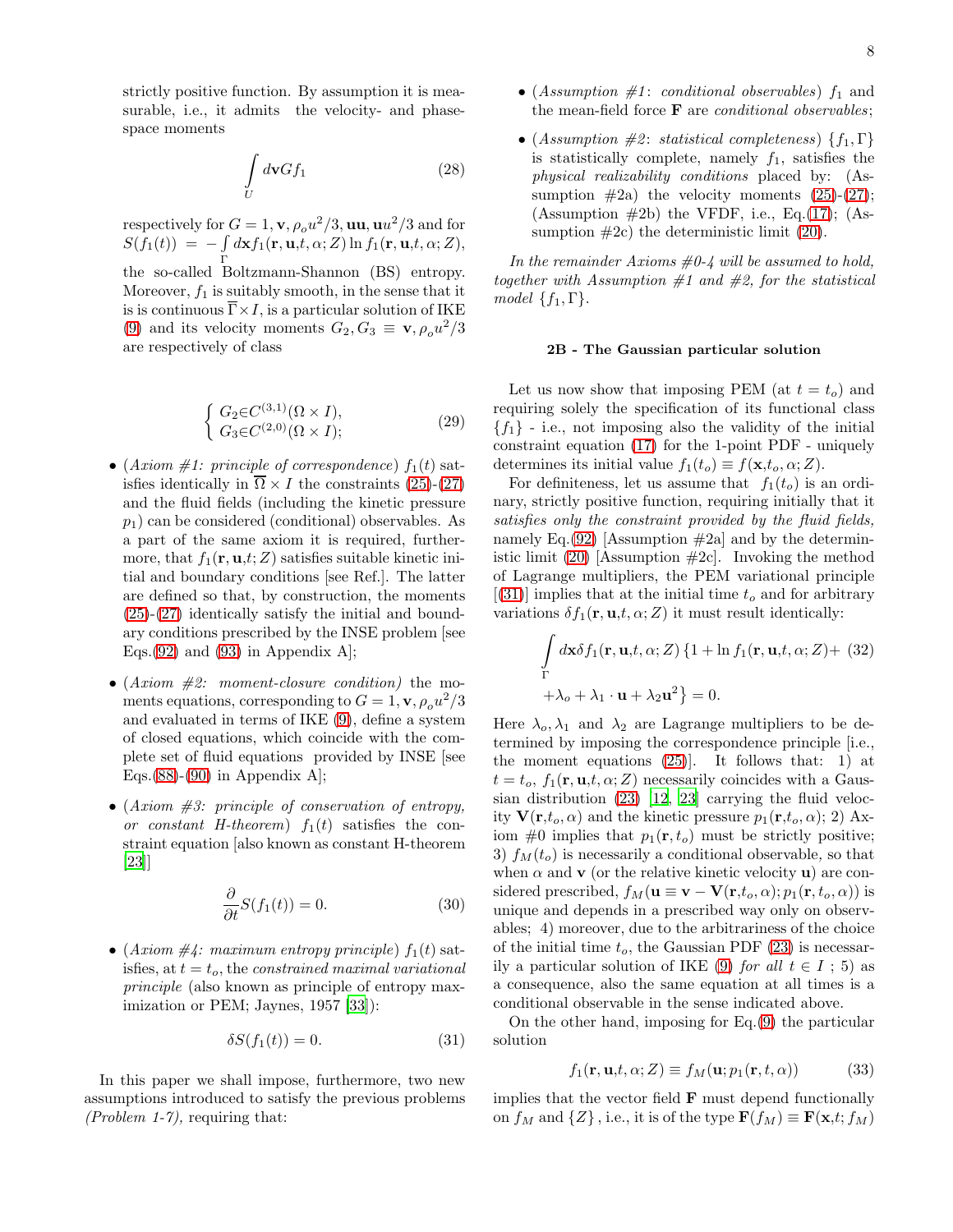strictly positive function. By assumption it is measurable, i.e., it admits the velocity- and phasespace moments

$$
\int\limits_U d\mathbf{v} G f_1\tag{28}
$$

respectively for  $G = 1$ , **v**,  $\rho_o u^2/3$ , **uu**, **u** $u^2/3$  and for  $S(f_1(t)) = - \int$ Γ  $d\mathbf{x}f_1(\mathbf{r}, \mathbf{u}, t, \alpha; Z) \ln f_1(\mathbf{r}, \mathbf{u}, t, \alpha; Z),$ the so-called Boltzmann-Shannon (BS) entropy. Moreover,  $f_1$  is suitably smooth, in the sense that it is is continuous  $\overline{\Gamma} \times I$ , is a particular solution of IKE [\(9\)](#page-1-3) and its velocity moments  $G_2, G_3 \equiv \mathbf{v}, \rho_o u^2/3$ are respectively of class

$$
\begin{cases} G_2 \in C^{(3,1)}(\Omega \times I), \\ G_3 \in C^{(2,0)}(\Omega \times I); \end{cases} \tag{29}
$$

- (Axiom #1: principle of correspondence)  $f_1(t)$  satisfies identically in  $\overline{\Omega} \times I$  the constraints [\(25\)](#page-4-2)-[\(27\)](#page-4-0) and the fluid fields (including the kinetic pressure  $p_1$ ) can be considered (conditional) observables. As a part of the same axiom it is required, furthermore, that  $f_1(\mathbf{r}, \mathbf{u}, t; Z)$  satisfies suitable kinetic initial and boundary conditions [see Ref.]. The latter are defined so that, by construction, the moments [\(25\)](#page-4-2)-[\(27\)](#page-4-0) identically satisfy the initial and boundary conditions prescribed by the INSE problem [see Eqs.  $(92)$  and  $(93)$  in Appendix A.
- $(Axiom \#2: moment-closure condition)$  the moments equations, corresponding to  $G = 1$ , **v**,  $\rho_o u^2/3$ and evaluated in terms of IKE [\(9\)](#page-1-3), define a system of closed equations, which coincide with the complete set of fluid equations provided by INSE [see Eqs. $(88)-(90)$  $(88)-(90)$  $(88)-(90)$  in Appendix A.
- $(Axiom \#3: principle of conservation of entropy,$ or constant H-theorem)  $f_1(t)$  satisfies the constraint equation [also known as constant H-theorem [\[23\]](#page-19-18)]

$$
\frac{\partial}{\partial t}S(f_1(t)) = 0.
$$
\n(30)

• (Axiom  $\#4$ : maximum entropy principle)  $f_1(t)$  satisfies, at  $t = t_o$ , the constrained maximal variational principle (also known as principle of entropy maximization or PEM; Jaynes, 1957 [\[33\]](#page-20-2)):

<span id="page-7-0"></span>
$$
\delta S(f_1(t)) = 0.\t\t(31)
$$

In this paper we shall impose, furthermore, two new assumptions introduced to satisfy the previous problems (*Problem 1-7*), requiring that:

- (Assumption  $#1$ : conditional observables)  $f_1$  and the mean-field force  $\bf{F}$  are *conditional observables*;
- (Assumption  $\#2$ : statistical completeness)  $\{f_1, \Gamma\}$ is statistically complete, namely  $f_1$ , satisfies the physical realizability conditions placed by: (Assumption  $#2a$ ) the velocity moments  $(25)-(27);$  $(25)-(27);$  $(25)-(27);$ (Assumption  $\#2b$ ) the VFDF, i.e., Eq.[\(17\)](#page-3-0); (Assumption  $#2c$ ) the deterministic limit  $(20)$ .

In the remainder Axioms  $\#0-4$  will be assumed to hold, together with Assumption  $#1$  and  $#2$ , for the statistical model  $\{f_1, \Gamma\}.$ 

### 2B - The Gaussian particular solution

Let us now show that imposing PEM (at  $t = t_o$ ) and requiring solely the specification of its functional class  ${f_1}$  - i.e., not imposing also the validity of the initial constraint equation [\(17\)](#page-3-0) for the 1-point PDF - uniquely determines its initial value  $f_1(t_o) \equiv f(\mathbf{x}, t_o, \alpha; Z)$ .

For definiteness, let us assume that  $f_1(t_o)$  is an ordinary, strictly positive function, requiring initially that it satisfies only the constraint provided by the fluid fields, namely Eq.[\(92\)](#page-16-2) [Assumption  $\#2a$ ] and by the deterministic limit  $(20)$  [Assumption  $\#2c$ ]. Invoking the method of Lagrange multipliers, the PEM variational principle  $[(31)]$  $[(31)]$  $[(31)]$  implies that at the initial time  $t<sub>o</sub>$  and for arbitrary variations  $\delta f_1(\mathbf{r}, \mathbf{u}, t, \alpha; Z)$  it must result identically:

$$
\int_{\Gamma} d\mathbf{x} \delta f_1(\mathbf{r}, \mathbf{u}, t, \alpha; Z) \{1 + \ln f_1(\mathbf{r}, \mathbf{u}, t, \alpha; Z) + (32) \n+ \lambda_o + \lambda_1 \cdot \mathbf{u} + \lambda_2 \mathbf{u}^2\} = 0.
$$

Here  $\lambda_0, \lambda_1$  and  $\lambda_2$  are Lagrange multipliers to be determined by imposing the correspondence principle [i.e., the moment equations  $(25)$ . It follows that: 1) at  $t = t_o, f_1(\mathbf{r}, \mathbf{u}, t, \alpha; Z)$  necessarily coincides with a Gaussian distribution [\(23\)](#page-4-3) [\[12](#page-19-12), [23\]](#page-19-18) carrying the fluid velocity  $\mathbf{V}(\mathbf{r},t_o,\alpha)$  and the kinetic pressure  $p_1(\mathbf{r},t_o,\alpha)$ ; 2) Axiom  $\#0$  implies that  $p_1(r, t_o)$  must be strictly positive; 3)  $f_M(t_o)$  is necessarily a conditional observable, so that when  $\alpha$  and **v** (or the relative kinetic velocity **u**) are considered prescribed,  $f_M(\mathbf{u} \equiv \mathbf{v} - \mathbf{V}(\mathbf{r}, t_o, \alpha); p_1(\mathbf{r}, t_o, \alpha))$  is unique and depends in a prescribed way only on observables; 4) moreover, due to the arbitrariness of the choice of the initial time  $t_o$ , the Gaussian PDF [\(23\)](#page-4-3) is necessar-ily a particular solution of IKE [\(9\)](#page-1-3) for all  $t \in I$ ; 5) as a consequence, also the same equation at all times is a conditional observable in the sense indicated above.

On the other hand, imposing for Eq.[\(9\)](#page-1-3) the particular solution

<span id="page-7-1"></span>
$$
f_1(\mathbf{r}, \mathbf{u}, t, \alpha; Z) \equiv f_M(\mathbf{u}; p_1(\mathbf{r}, t, \alpha)) \tag{33}
$$

implies that the vector field  $\bf{F}$  must depend functionally on  $f_M$  and  $\{Z\}$ , i.e., it is of the type  $\mathbf{F}(f_M) \equiv \mathbf{F}(\mathbf{x},t;f_M)$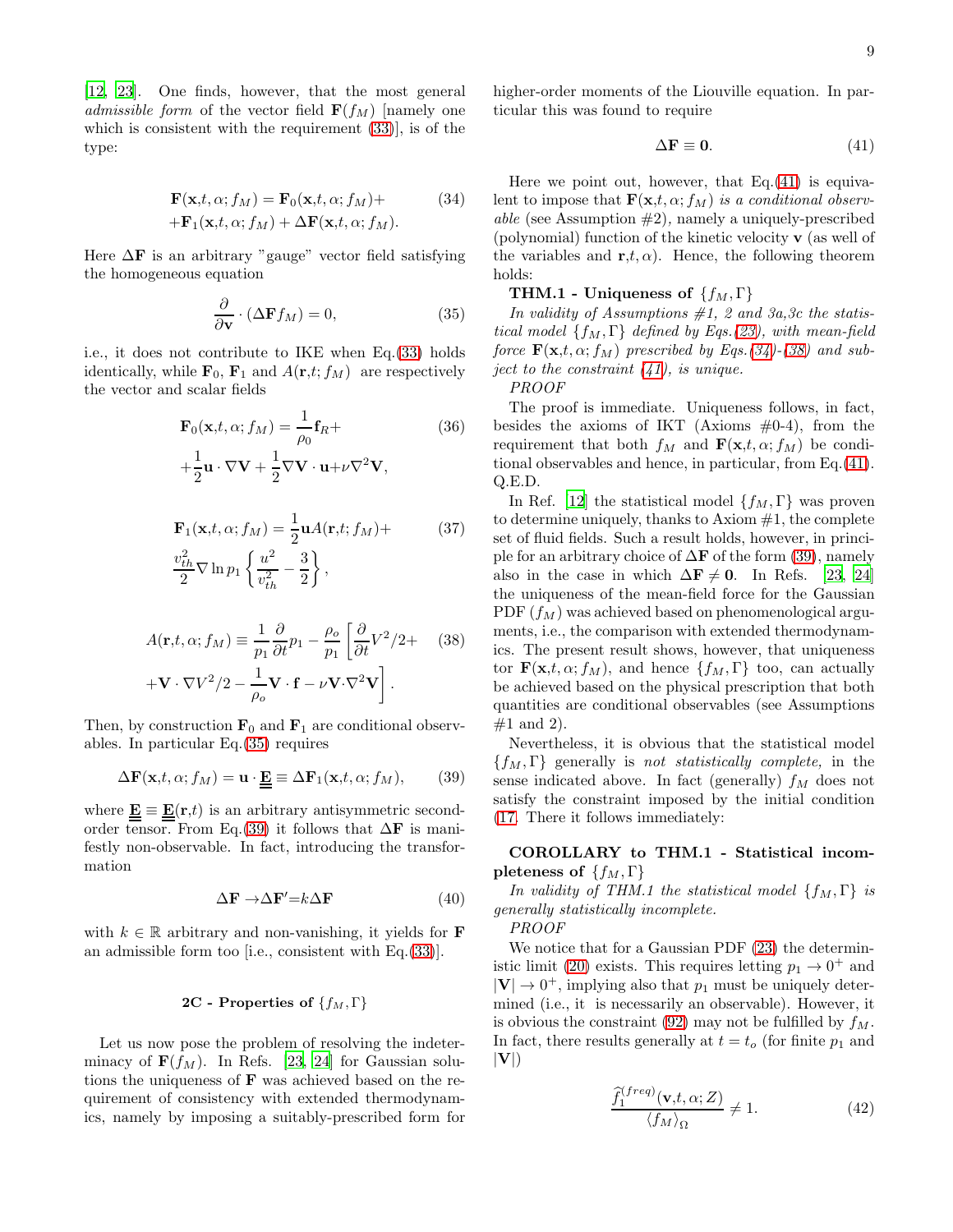[\[12,](#page-19-12) [23\]](#page-19-18). One finds, however, that the most general admissible form of the vector field  $\mathbf{F}(f_M)$  [namely one which is consistent with the requirement [\(33\)](#page-7-1)], is of the type:

<span id="page-8-3"></span>
$$
\mathbf{F}(\mathbf{x},t,\alpha;f_M) = \mathbf{F}_0(\mathbf{x},t,\alpha;f_M) + \n+ \mathbf{F}_1(\mathbf{x},t,\alpha;f_M) + \Delta \mathbf{F}(\mathbf{x},t,\alpha;f_M).
$$
\n(34)

Here  $\Delta F$  is an arbitrary "gauge" vector field satisfying the homogeneous equation

<span id="page-8-0"></span>
$$
\frac{\partial}{\partial \mathbf{v}} \cdot (\Delta \mathbf{F} f_M) = 0,\tag{35}
$$

i.e., it does not contribute to IKE when Eq.[\(33\)](#page-7-1) holds identically, while  $\mathbf{F}_0$ ,  $\mathbf{F}_1$  and  $A(\mathbf{r},t;f_M)$  are respectively the vector and scalar fields

$$
\mathbf{F}_0(\mathbf{x}, t, \alpha; f_M) = \frac{1}{\rho_0} \mathbf{f}_R +
$$
\n
$$
\frac{1}{\rho_0} \mathbf{F}_1 + \frac{1}{\rho_0} \mathbf{F}_2 \mathbf{F}_1 + \frac{1}{\rho_0} \mathbf{F}_2 \mathbf{F}_2 \mathbf{F}_3 + \frac{1}{\rho_0} \mathbf{F}_3 \mathbf{F}_4
$$
\n(36)

$$
+\frac{1}{2}\mathbf{u}\cdot\nabla\mathbf{V}+\frac{1}{2}\nabla\mathbf{V}\cdot\mathbf{u}+\nu\nabla^2\mathbf{V},
$$

$$
\mathbf{F}_1(\mathbf{x}, t, \alpha; f_M) = \frac{1}{2} \mathbf{u} A(\mathbf{r}, t; f_M) +
$$
\n
$$
\frac{v_{th}^2}{2} \nabla \ln p_1 \left\{ \frac{u^2}{v_{th}^2} - \frac{3}{2} \right\},
$$
\n(37)

<span id="page-8-4"></span>
$$
A(\mathbf{r}, t, \alpha; f_M) \equiv \frac{1}{p_1} \frac{\partial}{\partial t} p_1 - \frac{\rho_o}{p_1} \left[ \frac{\partial}{\partial t} V^2 / 2 + \quad (38) + \mathbf{V} \cdot \nabla V^2 / 2 - \frac{1}{\rho_o} \mathbf{V} \cdot \mathbf{f} - \nu \mathbf{V} \cdot \nabla^2 \mathbf{V} \right].
$$

Then, by construction  $\mathbf{F}_0$  and  $\mathbf{F}_1$  are conditional observables. In particular Eq.[\(35\)](#page-8-0) requires

<span id="page-8-1"></span>
$$
\Delta \mathbf{F}(\mathbf{x},t,\alpha;f_M) = \mathbf{u} \cdot \underline{\underline{\mathbf{E}}} \equiv \Delta \mathbf{F}_1(\mathbf{x},t,\alpha;f_M),\qquad(39)
$$

where  $\underline{\mathbf{E}} \equiv \underline{\mathbf{E}}(\mathbf{r},t)$  is an arbitrary antisymmetric second-order tensor. From Eq.[\(39\)](#page-8-1) it follows that  $\Delta$ **F** is manifestly non-observable. In fact, introducing the transformation

<span id="page-8-5"></span>
$$
\Delta \mathbf{F} \rightarrow \Delta \mathbf{F}' = k \Delta \mathbf{F} \tag{40}
$$

with  $k \in \mathbb{R}$  arbitrary and non-vanishing, it yields for **F** an admissible form too [i.e., consistent with Eq.[\(33\)](#page-7-1)].

# 2C - Properties of  $\{f_M, \Gamma\}$

Let us now pose the problem of resolving the indeterminacy of  $\mathbf{F}(f_M)$ . In Refs. [\[23,](#page-19-18) [24\]](#page-19-19) for Gaussian solutions the uniqueness of F was achieved based on the requirement of consistency with extended thermodynamics, namely by imposing a suitably-prescribed form for higher-order moments of the Liouville equation. In particular this was found to require

<span id="page-8-2"></span>
$$
\Delta \mathbf{F} \equiv \mathbf{0}.\tag{41}
$$

Here we point out, however, that  $Eq.(41)$  $Eq.(41)$  is equivalent to impose that  $\mathbf{F}(\mathbf{x},t,\alpha;f_M)$  is a conditional observable (see Assumption  $#2$ ), namely a uniquely-prescribed (polynomial) function of the kinetic velocity v (as well of the variables and  $\mathbf{r}, t, \alpha$ . Hence, the following theorem holds:

# **THM.1 - Uniqueness of**  $\{f_M, \Gamma\}$

In validity of Assumptions  $#1$ , 2 and 3a,3c the statistical model  $\{f_M, \Gamma\}$  defined by Eqs.[\(23\)](#page-4-3), with mean-field force  $\mathbf{F}(\mathbf{x},t,\alpha;f_M)$  prescribed by Eqs.[\(34\)](#page-8-3)-[\(38\)](#page-8-4) and subject to the constraint  $(41)$ , is unique.

#### PROOF

The proof is immediate. Uniqueness follows, in fact, besides the axioms of IKT (Axioms  $#0-4$ ), from the requirement that both  $f_M$  and  $\mathbf{F}(\mathbf{x}, t, \alpha; f_M)$  be conditional observables and hence, in particular, from Eq.[\(41\)](#page-8-2). Q.E.D.

In Ref. [\[12\]](#page-19-12) the statistical model  $\{f_M, \Gamma\}$  was proven to determine uniquely, thanks to Axiom  $#1$ , the complete set of fluid fields. Such a result holds, however, in principle for an arbitrary choice of  $\Delta F$  of the form [\(39\)](#page-8-1), namely also in the case in which  $\Delta \mathbf{F} \neq 0$ . In Refs. [\[23](#page-19-18), [24](#page-19-19)] the uniqueness of the mean-field force for the Gaussian PDF  $(f_M)$  was achieved based on phenomenological arguments, i.e., the comparison with extended thermodynamics. The present result shows, however, that uniqueness tor  $\mathbf{F}(\mathbf{x},t,\alpha;f_M)$ , and hence  $\{f_M,\Gamma\}$  too, can actually be achieved based on the physical prescription that both quantities are conditional observables (see Assumptions  $#1$  and 2).

Nevertheless, it is obvious that the statistical model  ${f_M, \Gamma}$  generally is not statistically complete, in the sense indicated above. In fact (generally)  $f_M$  does not satisfy the constraint imposed by the initial condition [\(17.](#page-3-0) There it follows immediately:

# COROLLARY to THM.1 - Statistical incompleteness of  $\{f_M, \Gamma\}$

In validity of THM.1 the statistical model  $\{f_M, \Gamma\}$  is generally statistically incomplete.

PROOF

We notice that for a Gaussian PDF [\(23\)](#page-4-3) the determin-istic limit [\(20\)](#page-4-1) exists. This requires letting  $p_1 \rightarrow 0^+$  and  $|\mathbf{V}| \to 0^+$ , implying also that  $p_1$  must be uniquely determined (i.e., it is necessarily an observable). However, it is obvious the constraint [\(92\)](#page-16-2) may not be fulfilled by  $f_M$ . In fact, there results generally at  $t = t<sub>o</sub>$  (for finite  $p<sub>1</sub>$  and  $|V|$ 

$$
\frac{\widehat{f}_1^{(freq)}(\mathbf{v},t,\alpha;Z)}{\langle f_M \rangle_{\Omega}} \neq 1.
$$
\n(42)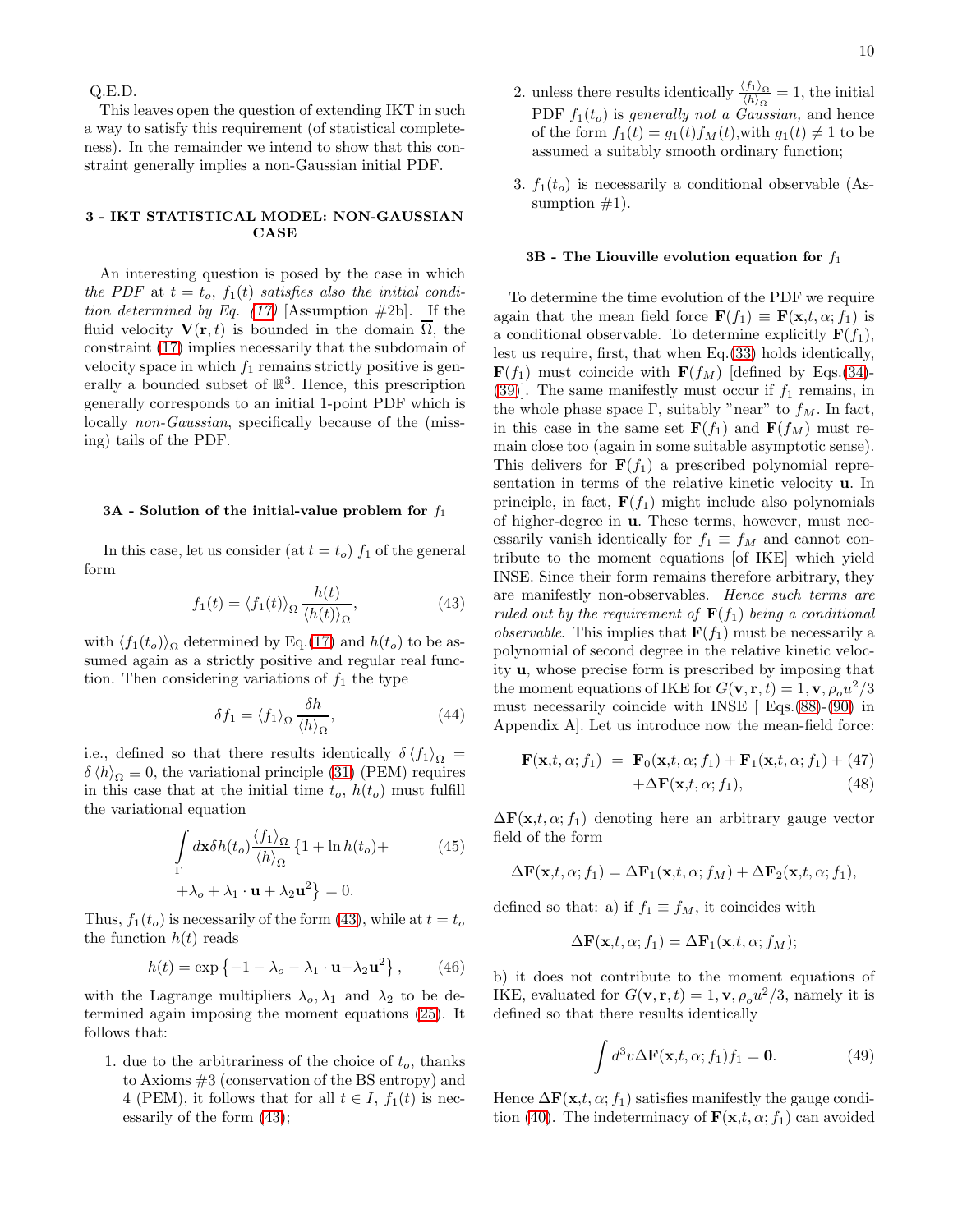Q.E.D.

This leaves open the question of extending IKT in such a way to satisfy this requirement (of statistical completeness). In the remainder we intend to show that this constraint generally implies a non-Gaussian initial PDF.

## 3 - IKT STATISTICAL MODEL: NON-GAUSSIAN CASE

An interesting question is posed by the case in which the PDF at  $t = t_o$ ,  $f_1(t)$  satisfies also the initial condi-tion determined by Eq. [\(17\)](#page-3-0) [Assumption  $\#2b$ ]. If the fluid velocity  $\mathbf{V}(\mathbf{r},t)$  is bounded in the domain  $\Omega$ , the constraint [\(17\)](#page-3-0) implies necessarily that the subdomain of velocity space in which  $f_1$  remains strictly positive is generally a bounded subset of  $\mathbb{R}^3$ . Hence, this prescription generally corresponds to an initial 1-point PDF which is locally *non-Gaussian*, specifically because of the (missing) tails of the PDF.

### $3A$  - Solution of the initial-value problem for  $f_1$

In this case, let us consider (at  $t = t_o$ )  $f_1$  of the general form

<span id="page-9-0"></span>
$$
f_1(t) = \langle f_1(t) \rangle_{\Omega} \frac{h(t)}{\langle h(t) \rangle_{\Omega}}, \tag{43}
$$

with  $\langle f_1(t_o) \rangle_{\Omega}$  determined by Eq.[\(17\)](#page-3-0) and  $h(t_o)$  to be assumed again as a strictly positive and regular real function. Then considering variations of  $f_1$  the type

$$
\delta f_1 = \langle f_1 \rangle_{\Omega} \frac{\delta h}{\langle h \rangle_{\Omega}},\tag{44}
$$

i.e., defined so that there results identically  $\delta \langle f_1 \rangle_{\Omega} =$  $\delta \langle h \rangle_{\Omega} \equiv 0$ , the variational principle [\(31\)](#page-7-0) (PEM) requires in this case that at the initial time  $t_o$ ,  $h(t_o)$  must fulfill the variational equation

$$
\int_{\Gamma} d\mathbf{x} \delta h(t_o) \frac{\langle f_1 \rangle_{\Omega}}{\langle h \rangle_{\Omega}} \{1 + \ln h(t_o) +
$$
\n
$$
+ \lambda_o + \lambda_1 \cdot \mathbf{u} + \lambda_2 \mathbf{u}^2 \} = 0.
$$
\n(45)

Thus,  $f_1(t_o)$  is necessarily of the form [\(43\)](#page-9-0), while at  $t = t_o$ the function  $h(t)$  reads

<span id="page-9-1"></span>
$$
h(t) = \exp\left\{-1 - \lambda_o - \lambda_1 \cdot \mathbf{u} - \lambda_2 \mathbf{u}^2\right\},\qquad(46)
$$

with the Lagrange multipliers  $\lambda_0, \lambda_1$  and  $\lambda_2$  to be determined again imposing the moment equations [\(25\)](#page-4-2). It follows that:

1. due to the arbitrariness of the choice of  $t_o$ , thanks to Axioms #3 (conservation of the BS entropy) and 4 (PEM), it follows that for all  $t \in I$ ,  $f_1(t)$  is necessarily of the form [\(43\)](#page-9-0);

- 2. unless there results identically  $\frac{\langle f_1 \rangle_{\Omega}}{\langle h \rangle_{\Omega}} = 1$ , the initial PDF  $f_1(t_o)$  is generally not a Gaussian, and hence of the form  $f_1(t) = g_1(t) f_M(t)$ , with  $g_1(t) \neq 1$  to be assumed a suitably smooth ordinary function;
- 3.  $f_1(t_o)$  is necessarily a conditional observable (Assumption  $#1$ ).

#### 3B - The Liouville evolution equation for  $f_1$

To determine the time evolution of the PDF we require again that the mean field force  $\mathbf{F}(f_1) \equiv \mathbf{F}(\mathbf{x}, t, \alpha; f_1)$  is a conditional observable. To determine explicitly  $\mathbf{F}(f_1)$ , lest us require, first, that when Eq.[\(33\)](#page-7-1) holds identically,  $\mathbf{F}(f_1)$  must coincide with  $\mathbf{F}(f_M)$  [defined by Eqs.[\(34\)](#page-8-3)-[\(39\)](#page-8-1). The same manifestly must occur if  $f_1$  remains, in the whole phase space  $\Gamma$ , suitably "near" to  $f_M$ . In fact, in this case in the same set  $\mathbf{F}(f_1)$  and  $\mathbf{F}(f_M)$  must remain close too (again in some suitable asymptotic sense). This delivers for  $F(f_1)$  a prescribed polynomial representation in terms of the relative kinetic velocity u. In principle, in fact,  $\mathbf{F}(f_1)$  might include also polynomials of higher-degree in u. These terms, however, must necessarily vanish identically for  $f_1 \equiv f_M$  and cannot contribute to the moment equations [of IKE] which yield INSE. Since their form remains therefore arbitrary, they are manifestly non-observables. Hence such terms are ruled out by the requirement of  $\mathbf{F}(f_1)$  being a conditional *observable*. This implies that  $\mathbf{F}(f_1)$  must be necessarily a polynomial of second degree in the relative kinetic velocity u, whose precise form is prescribed by imposing that the moment equations of IKE for  $G(\mathbf{v}, \mathbf{r}, t) = 1, \mathbf{v}, \rho_o u^2/3$ must necessarily coincide with INSE  $\lceil$  Eqs.[\(88\)](#page-16-2)-[\(90\)](#page-16-2) in Appendix A]. Let us introduce now the mean-field force:

<span id="page-9-2"></span>
$$
\mathbf{F}(\mathbf{x},t,\alpha;f_1) = \mathbf{F}_0(\mathbf{x},t,\alpha;f_1) + \mathbf{F}_1(\mathbf{x},t,\alpha;f_1) + (47) + \Delta \mathbf{F}(\mathbf{x},t,\alpha;f_1),
$$
\n(48)

 $\Delta F(\mathbf{x},t,\alpha;f_1)$  denoting here an arbitrary gauge vector field of the form

$$
\Delta \mathbf{F}(\mathbf{x},t,\alpha;f_1) = \Delta \mathbf{F}_1(\mathbf{x},t,\alpha;f_M) + \Delta \mathbf{F}_2(\mathbf{x},t,\alpha;f_1),
$$

defined so that: a) if  $f_1 \equiv f_M$ , it coincides with

$$
\Delta \mathbf{F}(\mathbf{x},t,\alpha;f_1) = \Delta \mathbf{F}_1(\mathbf{x},t,\alpha;f_M);
$$

b) it does not contribute to the moment equations of IKE, evaluated for  $G(\mathbf{v}, \mathbf{r}, t) = 1, \mathbf{v}, \rho_o u^2/3$ , namely it is defined so that there results identically

$$
\int d^3v \Delta \mathbf{F}(\mathbf{x},t,\alpha;f_1)f_1 = \mathbf{0}.\tag{49}
$$

Hence  $\Delta \mathbf{F}(\mathbf{x},t,\alpha;f_1)$  satisfies manifestly the gauge condi-tion [\(40\)](#page-8-5). The indeterminacy of  $\mathbf{F}(\mathbf{x},t,\alpha;f_1)$  can avoided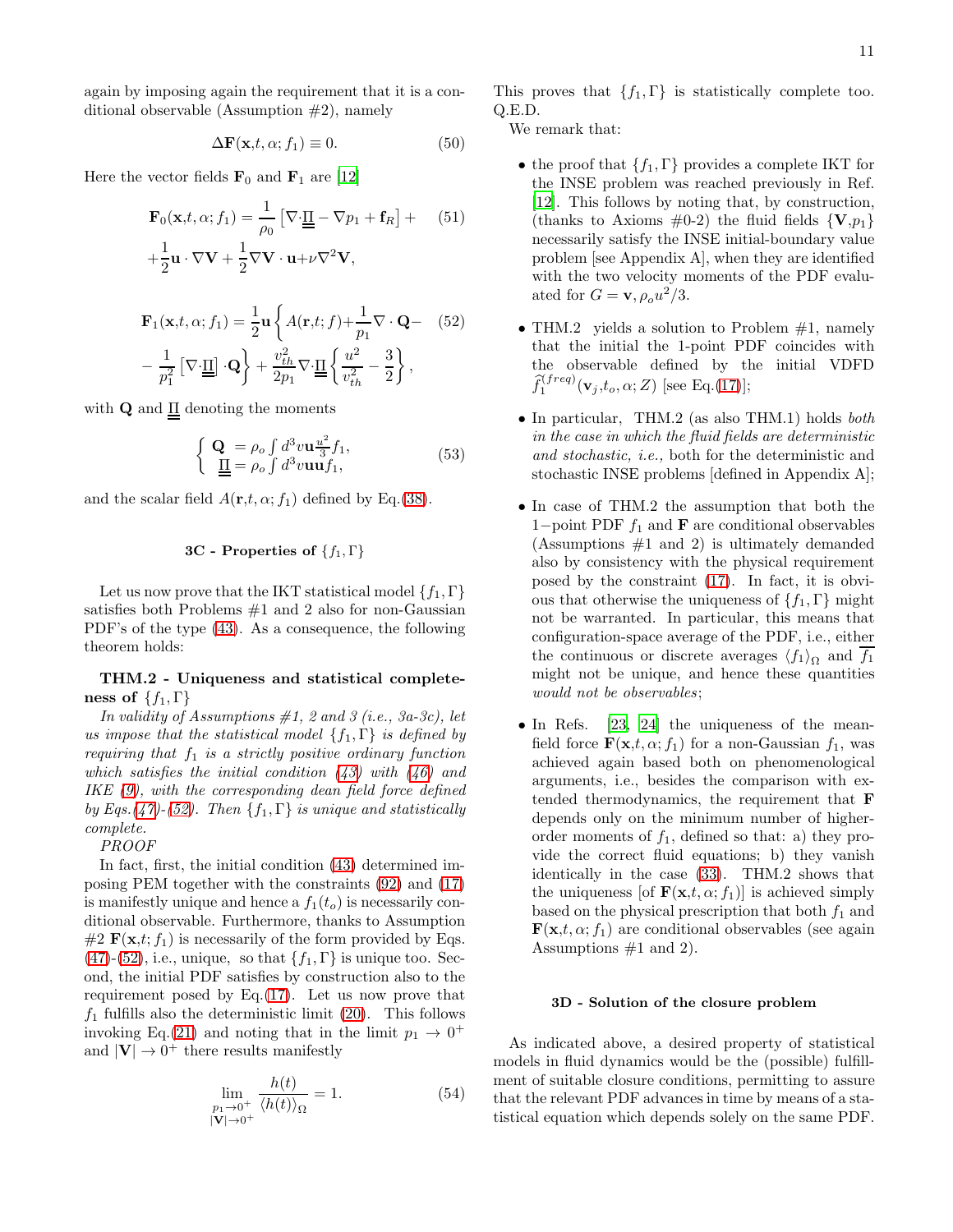again by imposing again the requirement that it is a conditional observable (Assumption  $#2$ ), namely

<span id="page-10-1"></span>
$$
\Delta \mathbf{F}(\mathbf{x}, t, \alpha; f_1) \equiv 0. \tag{50}
$$

Here the vector fields  $\mathbf{F}_0$  and  $\mathbf{F}_1$  are [\[12\]](#page-19-12)

<span id="page-10-2"></span>
$$
\mathbf{F}_0(\mathbf{x},t,\alpha;f_1) = \frac{1}{\rho_0} \left[ \nabla \cdot \underline{\underline{\Pi}} - \nabla p_1 + \mathbf{f}_R \right] + \left[ \frac{1}{2} \mathbf{u} \cdot \nabla \mathbf{V} + \frac{1}{2} \nabla \mathbf{V} \cdot \mathbf{u} + \nu \nabla^2 \mathbf{V}, \right]
$$
 (51)

<span id="page-10-0"></span>
$$
\mathbf{F}_1(\mathbf{x}, t, \alpha; f_1) = \frac{1}{2} \mathbf{u} \left\{ A(\mathbf{r}, t; f) + \frac{1}{p_1} \nabla \cdot \mathbf{Q} - (52) - \frac{1}{p_1^2} \left[ \nabla \cdot \mathbf{\underline{H}} \right] \cdot \mathbf{Q} \right\} + \frac{v_{th}^2}{2p_1} \nabla \cdot \mathbf{\underline{H}} \left\{ \frac{u^2}{v_{th}^2} - \frac{3}{2} \right\},
$$

with  $\mathbf Q$  and  $\underline{\Pi}$  denoting the moments

<span id="page-10-3"></span>
$$
\begin{cases} \mathbf{Q} = \rho_o \int d^3 v \mathbf{u} \frac{u^2}{3} f_1, \\ \underline{\underline{\Pi}} = \rho_o \int d^3 v \mathbf{u} \mathbf{u} f_1, \end{cases}
$$
(53)

and the scalar field  $A(\mathbf{r},t,\alpha;f_1)$  defined by Eq.[\(38\)](#page-8-4).

# 3C - Properties of  $\{f_1, \Gamma\}$

Let us now prove that the IKT statistical model  $\{f_1, \Gamma\}$ satisfies both Problems  $#1$  and 2 also for non-Gaussian PDF's of the type [\(43\)](#page-9-0). As a consequence, the following theorem holds:

THM.2 - Uniqueness and statistical completeness of  $\{f_1, \Gamma\}$ 

In validity of Assumptions  $#1$ , 2 and 3 (i.e., 3a-3c), let us impose that the statistical model  $\{f_1, \Gamma\}$  is defined by requiring that  $f_1$  is a strictly positive ordinary function which satisfies the initial condition  $(43)$  with  $(46)$  and IKE [\(9\)](#page-1-3), with the corresponding dean field force defined by Eqs.[\(47\)](#page-9-2)-[\(52\)](#page-10-0). Then  $\{f_1, \Gamma\}$  is unique and statistically complete.

PROOF

In fact, first, the initial condition [\(43\)](#page-9-0) determined imposing PEM together with the constraints [\(92\)](#page-16-2) and [\(17\)](#page-3-0) is manifestly unique and hence a  $f_1(t_o)$  is necessarily conditional observable. Furthermore, thanks to Assumption  $#2 \mathbf{F}(\mathbf{x},t; f_1)$  is necessarily of the form provided by Eqs.  $(47)$ - $(52)$ , i.e., unique, so that  $\{f_1, \Gamma\}$  is unique too. Second, the initial PDF satisfies by construction also to the requirement posed by Eq.[\(17\)](#page-3-0). Let us now prove that  $f_1$  fulfills also the deterministic limit [\(20\)](#page-4-1). This follows invoking Eq.[\(21\)](#page-4-4) and noting that in the limit  $p_1 \rightarrow 0^+$ and  $|\mathbf{V}| \to 0^+$  there results manifestly

$$
\lim_{\substack{p_1 \to 0^+ \\ |\mathbf{V}| \to 0^+}} \frac{h(t)}{\langle h(t) \rangle_{\Omega}} = 1.
$$
\n(54)

This proves that  $\{f_1, \Gamma\}$  is statistically complete too. Q.E.D.

We remark that:

- the proof that  $\{f_1, \Gamma\}$  provides a complete IKT for the INSE problem was reached previously in Ref. [\[12\]](#page-19-12). This follows by noting that, by construction, (thanks to Axioms  $\#0-2$ ) the fluid fields  $\{V, p_1\}$ necessarily satisfy the INSE initial-boundary value problem [see Appendix A], when they are identified with the two velocity moments of the PDF evaluated for  $G = \mathbf{v}, \rho_o u^2 / 3$ .
- THM.2 yields a solution to Problem  $#1$ , namely that the initial the 1-point PDF coincides with the observable defined by the initial VDFD  $\widehat{f}_1^{(freq)}(\mathbf{v}_j,t_o,\alpha;Z)$  [see Eq.[\(17\)](#page-3-0)];
- In particular, THM.2 (as also THM.1) holds both in the case in which the fluid fields are deterministic and stochastic, i.e., both for the deterministic and stochastic INSE problems [defined in Appendix A];
- In case of THM.2 the assumption that both the 1−point PDF  $f_1$  and **F** are conditional observables (Assumptions  $#1$  and 2) is ultimately demanded also by consistency with the physical requirement posed by the constraint [\(17\)](#page-3-0). In fact, it is obvious that otherwise the uniqueness of  $\{f_1, \Gamma\}$  might not be warranted. In particular, this means that configuration-space average of the PDF, i.e., either the continuous or discrete averages  $\langle f_1 \rangle_{\Omega}$  and  $f_1$ might not be unique, and hence these quantities would not be observables;
- In Refs. [\[23,](#page-19-18) [24\]](#page-19-19) the uniqueness of the meanfield force  $\mathbf{F}(\mathbf{x},t,\alpha;f_1)$  for a non-Gaussian  $f_1$ , was achieved again based both on phenomenological arguments, i.e., besides the comparison with extended thermodynamics, the requirement that F depends only on the minimum number of higherorder moments of  $f_1$ , defined so that: a) they provide the correct fluid equations; b) they vanish identically in the case [\(33\)](#page-7-1). THM.2 shows that the uniqueness [of  $\mathbf{F}(\mathbf{x},t,\alpha;f_1)$ ] is achieved simply based on the physical prescription that both  $f_1$  and  $\mathbf{F}(\mathbf{x},t,\alpha;f_1)$  are conditional observables (see again Assumptions  $#1$  and 2).

# 3D - Solution of the closure problem

As indicated above, a desired property of statistical models in fluid dynamics would be the (possible) fulfillment of suitable closure conditions, permitting to assure that the relevant PDF advances in time by means of a statistical equation which depends solely on the same PDF.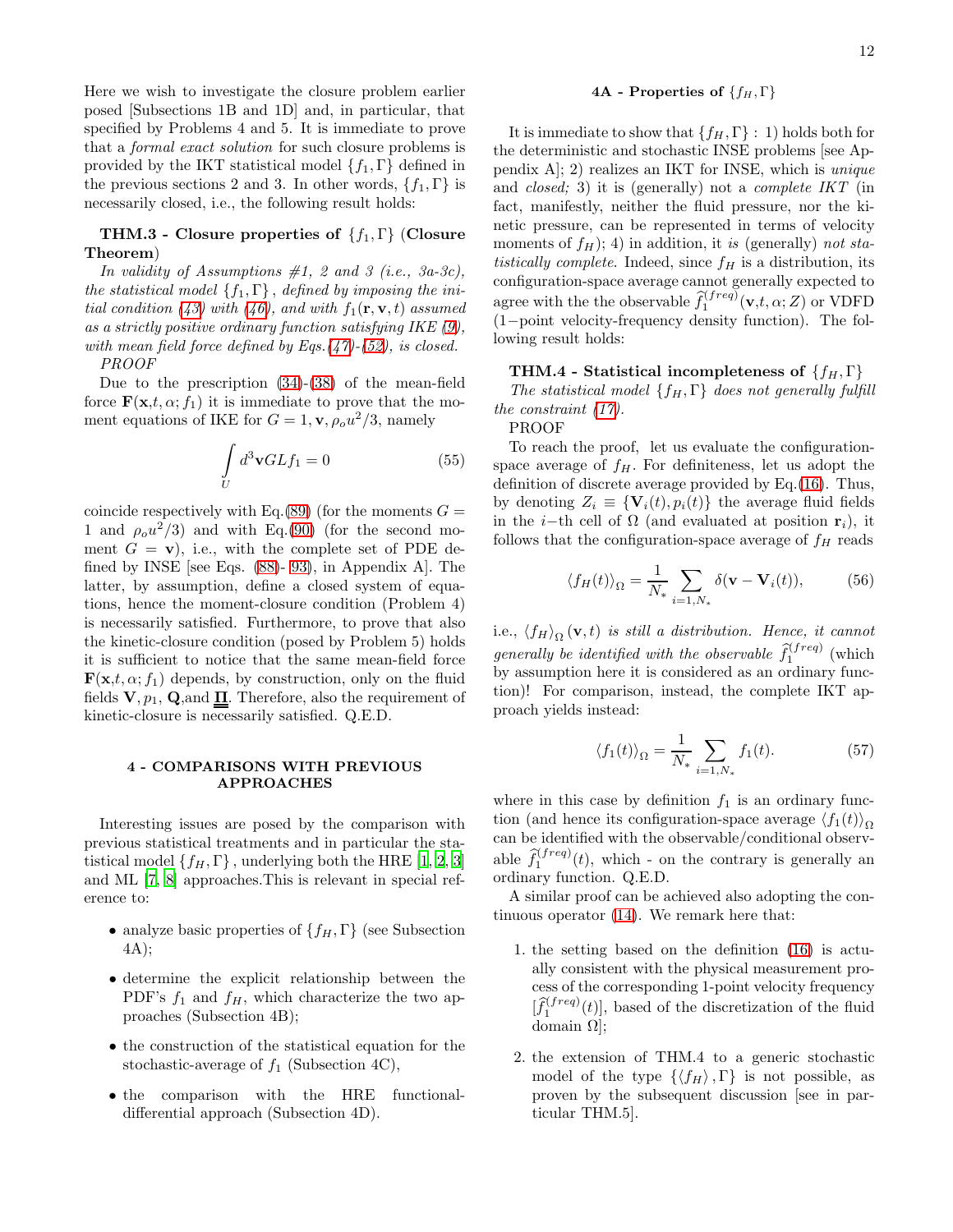Here we wish to investigate the closure problem earlier posed [Subsections 1B and 1D] and, in particular, that specified by Problems 4 and 5. It is immediate to prove that a formal exact solution for such closure problems is provided by the IKT statistical model  $\{f_1, \Gamma\}$  defined in the previous sections 2 and 3. In other words,  $\{f_1, \Gamma\}$  is necessarily closed, i.e., the following result holds:

# THM.3 - Closure properties of  $\{f_1, \Gamma\}$  (Closure Theorem)

In validity of Assumptions  $#1$ , 2 and 3 (i.e., 3a-3c), the statistical model  $\{f_1, \Gamma\}$ , defined by imposing the ini-tial condition [\(43\)](#page-9-0) with [\(46\)](#page-9-1), and with  $f_1(\mathbf{r}, \mathbf{v}, t)$  assumed as a strictly positive ordinary function satisfying IKE  $(9)$ , with mean field force defined by Eqs. $(47)-(52)$  $(47)-(52)$  $(47)-(52)$ , is closed. PROOF

Due to the prescription [\(34\)](#page-8-3)-[\(38\)](#page-8-4) of the mean-field force  $\mathbf{F}(\mathbf{x},t,\alpha;f_1)$  it is immediate to prove that the moment equations of IKE for  $G = 1$ ,  $\mathbf{v}, \rho_o u^2/3$ , namely

$$
\int\limits_U d^3\mathbf{v}GLf_1 = 0\tag{55}
$$

coincide respectively with Eq.[\(89\)](#page-16-2) (for the moments  $G =$ 1 and  $\rho_0 u^2/3$  and with Eq.[\(90\)](#page-16-2) (for the second moment  $G = \mathbf{v}$ , i.e., with the complete set of PDE defined by INSE [see Eqs. [\(88\)](#page-16-2)- [93\)](#page-16-2), in Appendix A]. The latter, by assumption, define a closed system of equations, hence the moment-closure condition (Problem 4) is necessarily satisfied. Furthermore, to prove that also the kinetic-closure condition (posed by Problem 5) holds it is sufficient to notice that the same mean-field force  $\mathbf{F}(\mathbf{x},t,\alpha;f_1)$  depends, by construction, only on the fluid fields  $V, p_1, Q$ , and  $\Pi$ . Therefore, also the requirement of kinetic-closure is necessarily satisfied. Q.E.D.

# 4 - COMPARISONS WITH PREVIOUS APPROACHES

Interesting issues are posed by the comparison with previous statistical treatments and in particular the statistical model  $\{f_H, \Gamma\}$ , underlying both the HRE [\[1](#page-19-0), [2,](#page-19-1) [3](#page-19-2)] and ML [\[7](#page-19-7), [8\]](#page-19-8) approaches.This is relevant in special reference to:

- analyze basic properties of  $\{f_H, \Gamma\}$  (see Subsection 4A);
- determine the explicit relationship between the PDF's  $f_1$  and  $f_H$ , which characterize the two approaches (Subsection 4B);
- the construction of the statistical equation for the stochastic-average of  $f_1$  (Subsection 4C),
- the comparison with the HRE functionaldifferential approach (Subsection 4D).

### 4A - Properties of  $\{f_H, \Gamma\}$

It is immediate to show that  $\{f_H, \Gamma\}$ : 1) holds both for the deterministic and stochastic INSE problems [see Appendix A]; 2) realizes an IKT for INSE, which is unique and closed; 3) it is (generally) not a complete IKT (in fact, manifestly, neither the fluid pressure, nor the kinetic pressure, can be represented in terms of velocity moments of  $f_H$ ); 4) in addition, it is (generally) not statistically complete. Indeed, since  $f<sub>H</sub>$  is a distribution, its configuration-space average cannot generally expected to agree with the the observable  $\hat{f}_1^{(freq)}(\mathbf{v},t,\alpha;Z)$  or VDFD (1−point velocity-frequency density function). The following result holds:

### THM.4 - Statistical incompleteness of  $\{f_H, \Gamma\}$

The statistical model  $\{f_H, \Gamma\}$  does not generally fulfill the constraint [\(17\)](#page-3-0).

PROOF

To reach the proof, let us evaluate the configurationspace average of  $f_H$ . For definiteness, let us adopt the definition of discrete average provided by Eq.[\(16\)](#page-3-1). Thus, by denoting  $Z_i \equiv \{V_i(t), p_i(t)\}\$ the average fluid fields in the *i*−th cell of  $\Omega$  (and evaluated at position  $\mathbf{r}_i$ ), it follows that the configuration-space average of  $f_H$  reads

$$
\langle f_H(t) \rangle_{\Omega} = \frac{1}{N_*} \sum_{i=1, N_*} \delta(\mathbf{v} - \mathbf{V}_i(t)), \tag{56}
$$

i.e.,  $\langle f_H \rangle_{\Omega}(\mathbf{v},t)$  is still a distribution. Hence, it cannot generally be identified with the observable  $\hat{f}_1^{(freq)}$  (which by assumption here it is considered as an ordinary function)! For comparison, instead, the complete IKT approach yields instead:

$$
\langle f_1(t) \rangle_{\Omega} = \frac{1}{N_*} \sum_{i=1, N_*} f_1(t). \tag{57}
$$

where in this case by definition  $f_1$  is an ordinary function (and hence its configuration-space average  $\langle f_1(t) \rangle_{\Omega}$ can be identified with the observable/conditional observable  $\hat{f}_1^{(freq)}(t)$ , which - on the contrary is generally an ordinary function. Q.E.D.

A similar proof can be achieved also adopting the continuous operator [\(14\)](#page-3-2). We remark here that:

- 1. the setting based on the definition [\(16\)](#page-3-1) is actually consistent with the physical measurement process of the corresponding 1-point velocity frequency  $[\hat{f}_1^{(freq)}(t)]$ , based of the discretization of the fluid domain Ω];
- 2. the extension of THM.4 to a generic stochastic model of the type  $\{\langle f_H \rangle, \Gamma\}$  is not possible, as proven by the subsequent discussion [see in particular THM.5].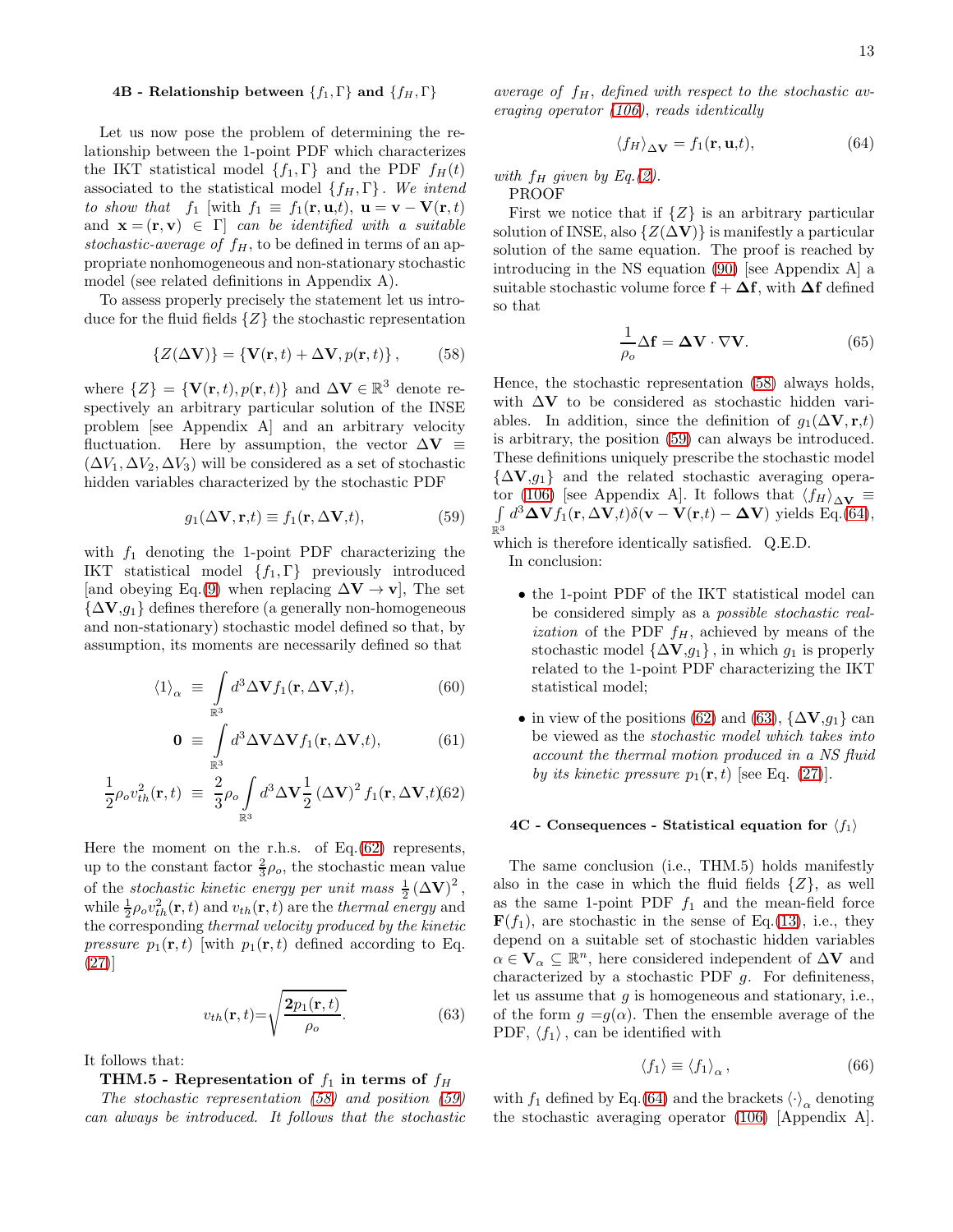# 4B - Relationship between  $\{f_1, \Gamma\}$  and  $\{f_H, \Gamma\}$

Let us now pose the problem of determining the relationship between the 1-point PDF which characterizes the IKT statistical model  $\{f_1, \Gamma\}$  and the PDF  $f_H(t)$ associated to the statistical model  $\{f_H, \Gamma\}$ . We intend to show that f<sub>1</sub> [with  $f_1 \equiv f_1(\mathbf{r}, \mathbf{u}, t)$ ,  $\mathbf{u} = \mathbf{v} - \mathbf{V}(\mathbf{r}, t)$ and  $\mathbf{x} = (\mathbf{r}, \mathbf{v}) \in \Gamma$  can be identified with a suitable stochastic-average of  $f_H$ , to be defined in terms of an appropriate nonhomogeneous and non-stationary stochastic model (see related definitions in Appendix A).

To assess properly precisely the statement let us introduce for the fluid fields  $\{Z\}$  the stochastic representation

<span id="page-12-1"></span>
$$
\{Z(\Delta \mathbf{V})\} = \{\mathbf{V}(\mathbf{r},t) + \Delta \mathbf{V}, p(\mathbf{r},t)\},\qquad(58)
$$

where  $\{Z\} = \{V(\mathbf{r},t), p(\mathbf{r},t)\}\$ and  $\Delta V \in \mathbb{R}^3$  denote respectively an arbitrary particular solution of the INSE problem [see Appendix A] and an arbitrary velocity fluctuation. Here by assumption, the vector  $\Delta V \equiv$  $(\Delta V_1, \Delta V_2, \Delta V_3)$  will be considered as a set of stochastic hidden variables characterized by the stochastic PDF

<span id="page-12-2"></span>
$$
g_1(\Delta \mathbf{V}, \mathbf{r}, t) \equiv f_1(\mathbf{r}, \Delta \mathbf{V}, t), \tag{59}
$$

with  $f_1$  denoting the 1-point PDF characterizing the IKT statistical model  $\{f_1, \Gamma\}$  previously introduced [and obeying Eq.[\(9\)](#page-1-3) when replacing  $\Delta V \rightarrow v$ ], The set  $\{\Delta V, g_1\}$  defines therefore (a generally non-homogeneous and non-stationary) stochastic model defined so that, by assumption, its moments are necessarily defined so that

<span id="page-12-0"></span>
$$
\langle 1 \rangle_{\alpha} \equiv \int\limits_{\mathbb{R}^3} d^3 \Delta \mathbf{V} f_1(\mathbf{r}, \Delta \mathbf{V}, t), \tag{60}
$$

$$
\mathbf{0} \equiv \int_{\mathbb{R}^3} d^3 \Delta \mathbf{V} \Delta \mathbf{V} f_1(\mathbf{r}, \Delta \mathbf{V}, t), \tag{61}
$$

$$
\frac{1}{2}\rho_o v_{th}^2(\mathbf{r},t) \equiv \frac{2}{3}\rho_o \int_{\mathbb{R}^3} d^3 \Delta \mathbf{V} \frac{1}{2} (\Delta \mathbf{V})^2 f_1(\mathbf{r}, \Delta \mathbf{V}, t)(62)
$$

Here the moment on the r.h.s. of Eq. $(62)$  represents, up to the constant factor  $\frac{2}{3}\rho_o$ , the stochastic mean value of the *stochastic kinetic energy per unit mass*  $\frac{1}{2} (\Delta V)^2$ , while  $\frac{1}{2}\rho_o v_{th}^2(\mathbf{r},t)$  and  $v_{th}(\mathbf{r},t)$  are the thermal energy and the corresponding thermal velocity produced by the kinetic *pressure*  $p_1(\mathbf{r}, t)$  [with  $p_1(\mathbf{r}, t)$  defined according to Eq. [\(27\)](#page-4-0)]

<span id="page-12-4"></span>
$$
v_{th}(\mathbf{r},t) = \sqrt{\frac{2p_1(\mathbf{r},t)}{\rho_o}}.\t(63)
$$

It follows that:

# THM.5 - Representation of  $f_1$  in terms of  $f_H$

The stochastic representation [\(58\)](#page-12-1) and position [\(59\)](#page-12-2) can always be introduced. It follows that the stochastic average of  $f_H$ , defined with respect to the stochastic averaging operator [\(106\)](#page-17-0), reads identically

<span id="page-12-3"></span>
$$
\langle f_H \rangle_{\Delta \mathbf{V}} = f_1(\mathbf{r}, \mathbf{u}, t), \tag{64}
$$

with  $f_H$  given by Eq.[\(2\)](#page-1-0).

PROOF

First we notice that if  $\{Z\}$  is an arbitrary particular solution of INSE, also  $\{Z(\Delta V)\}\$ is manifestly a particular solution of the same equation. The proof is reached by introducing in the NS equation [\(90\)](#page-16-2) [see Appendix A] a suitable stochastic volume force  $f + \Delta f$ , with  $\Delta f$  defined so that

$$
\frac{1}{\rho_o} \Delta \mathbf{f} = \Delta \mathbf{V} \cdot \nabla \mathbf{V}.
$$
 (65)

Hence, the stochastic representation [\(58\)](#page-12-1) always holds, with  $\Delta V$  to be considered as stochastic hidden variables. In addition, since the definition of  $g_1(\Delta V, \mathbf{r}, t)$ is arbitrary, the position [\(59\)](#page-12-2) can always be introduced. These definitions uniquely prescribe the stochastic model  $\{\Delta V, g_1\}$  and the related stochastic averaging opera-tor [\(106\)](#page-17-0) [see Appendix A]. It follows that  $\langle f_H \rangle_{\Delta V}$  ≡  $\int\limits_{\mathbb{R}^3} d^3$ **∆V** $f_1(\mathbf{r}, \Delta \mathbf{V}, t) \delta(\mathbf{v} - \mathbf{V}(\mathbf{r}, t) - \mathbf{\Delta} \mathbf{V})$  yields Eq.[\(64\)](#page-12-3),

which is therefore identically satisfied. Q.E.D. In conclusion:

- the 1-point PDF of the IKT statistical model can be considered simply as a possible stochastic real*ization* of the PDF  $f_H$ , achieved by means of the stochastic model  $\{\Delta V, g_1\}$ , in which  $g_1$  is properly related to the 1-point PDF characterizing the IKT statistical model;
- in view of the positions [\(62\)](#page-12-0) and [\(63\)](#page-12-4),  $\{\Delta \mathbf{V}, g_1\}$  can be viewed as the stochastic model which takes into account the thermal motion produced in a NS fluid by its kinetic pressure  $p_1(\mathbf{r}, t)$  [see Eq. [\(27\)](#page-4-0)].

#### 4C - Consequences - Statistical equation for  $\langle f_1 \rangle$

The same conclusion (i.e., THM.5) holds manifestly also in the case in which the fluid fields  $\{Z\}$ , as well as the same 1-point PDF  $f_1$  and the mean-field force  $\mathbf{F}(f_1)$ , are stochastic in the sense of Eq.[\(13\)](#page-2-0), i.e., they depend on a suitable set of stochastic hidden variables  $\alpha \in \mathbf{V}_{\alpha} \subseteq \mathbb{R}^{n}$ , here considered independent of  $\Delta \mathbf{V}$  and characterized by a stochastic PDF  $g$ . For definiteness, let us assume that g is homogeneous and stationary, i.e., of the form  $g = g(\alpha)$ . Then the ensemble average of the PDF,  $\langle f_1 \rangle$ , can be identified with

<span id="page-12-5"></span>
$$
\langle f_1 \rangle \equiv \langle f_1 \rangle_{\alpha} \,, \tag{66}
$$

with  $f_1$  defined by Eq.[\(64\)](#page-12-3) and the brackets  $\langle \cdot \rangle_\alpha$  denoting the stochastic averaging operator [\(106\)](#page-17-0) [Appendix A].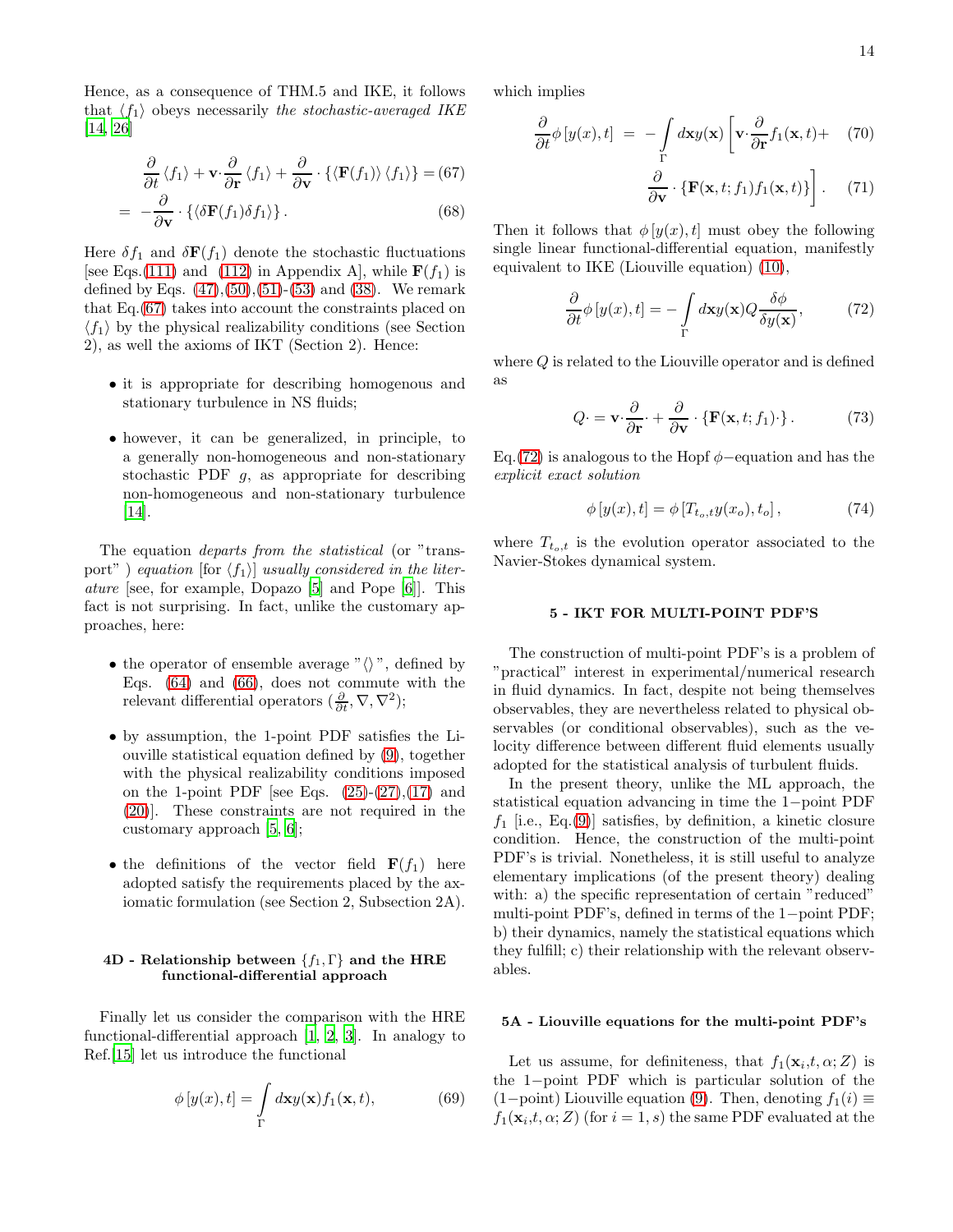Hence, as a consequence of THM.5 and IKE, it follows that  $\langle f_1 \rangle$  obeys necessarily the stochastic-averaged IKE [\[14,](#page-19-13) [26\]](#page-19-21)

<span id="page-13-0"></span>
$$
\frac{\partial}{\partial t} \langle f_1 \rangle + \mathbf{v} \cdot \frac{\partial}{\partial \mathbf{r}} \langle f_1 \rangle + \frac{\partial}{\partial \mathbf{v}} \cdot \{ \langle \mathbf{F}(f_1) \rangle \langle f_1 \rangle \} = (67)
$$
\n
$$
= -\frac{\partial}{\partial \mathbf{v}} \cdot \{ \langle \delta \mathbf{F}(f_1) \delta f_1 \rangle \}.
$$
\n(68)

Here  $\delta f_1$  and  $\delta \mathbf{F}(f_1)$  denote the stochastic fluctuations [see Eqs.[\(111\)](#page-18-2) and [\(112\)](#page-18-2) in Appendix A], while  $F(f_1)$  is defined by Eqs.  $(47),(50),(51)-(53)$  $(47),(50),(51)-(53)$  $(47),(50),(51)-(53)$  $(47),(50),(51)-(53)$  $(47),(50),(51)-(53)$  $(47),(50),(51)-(53)$  and  $(38)$ . We remark that Eq.[\(67\)](#page-13-0) takes into account the constraints placed on  $\langle f_1 \rangle$  by the physical realizability conditions (see Section 2), as well the axioms of IKT (Section 2). Hence:

- it is appropriate for describing homogenous and stationary turbulence in NS fluids;
- however, it can be generalized, in principle, to a generally non-homogeneous and non-stationary stochastic PDF g, as appropriate for describing non-homogeneous and non-stationary turbulence [\[14\]](#page-19-13).

The equation departs from the statistical (or "transport" ) equation [for  $\langle f_1 \rangle$ ] usually considered in the literature [see, for example, Dopazo [\[5](#page-19-6)] and Pope [\[6](#page-19-3)]]. This fact is not surprising. In fact, unlike the customary approaches, here:

- the operator of ensemble average " $\langle \rangle$ ", defined by Eqs. [\(64\)](#page-12-3) and [\(66\)](#page-12-5), does not commute with the relevant differential operators  $(\frac{\partial}{\partial t}, \nabla, \nabla^2);$
- by assumption, the 1-point PDF satisfies the Liouville statistical equation defined by [\(9\)](#page-1-3), together with the physical realizability conditions imposed on the 1-point PDF [see Eqs.  $(25)-(27),(17)$  $(25)-(27),(17)$  $(25)-(27),(17)$  $(25)-(27),(17)$  and [\(20\)](#page-4-1)]. These constraints are not required in the customary approach [\[5](#page-19-6), [6](#page-19-3)];
- the definitions of the vector field  $\mathbf{F}(f_1)$  here adopted satisfy the requirements placed by the axiomatic formulation (see Section 2, Subsection 2A).

# 4D - Relationship between  $\{f_1, \Gamma\}$  and the HRE functional-differential approach

Finally let us consider the comparison with the HRE functional-differential approach [\[1,](#page-19-0) [2,](#page-19-1) [3](#page-19-2)]. In analogy to Ref.[\[15](#page-19-14)] let us introduce the functional

$$
\phi[y(x),t] = \int\limits_{\Gamma} d\mathbf{x} y(\mathbf{x}) f_1(\mathbf{x},t), \tag{69}
$$

which implies

$$
\frac{\partial}{\partial t}\phi\left[y(x),t\right] = -\int_{\Gamma} d\mathbf{x}y(\mathbf{x})\left[\mathbf{v}\cdot\frac{\partial}{\partial \mathbf{r}}f_1(\mathbf{x},t) + (70)\frac{\partial}{\partial \mathbf{v}}\cdot\{\mathbf{F}(\mathbf{x},t;f_1)f_1(\mathbf{x},t)\}\right].
$$
 (71)

Then it follows that  $\phi[y(x), t]$  must obey the following single linear functional-differential equation, manifestly equivalent to IKE (Liouville equation) [\(10\)](#page-1-9),

<span id="page-13-1"></span>
$$
\frac{\partial}{\partial t}\phi\left[y(x),t\right] = -\int_{\Gamma} d\mathbf{x}y(\mathbf{x})Q\frac{\delta\phi}{\delta y(\mathbf{x})},\tag{72}
$$

where Q is related to the Liouville operator and is defined as

$$
Q \cdot = \mathbf{v} \cdot \frac{\partial}{\partial \mathbf{r}} \cdot + \frac{\partial}{\partial \mathbf{v}} \cdot \{ \mathbf{F}(\mathbf{x}, t; f_1) \cdot \} . \tag{73}
$$

Eq.[\(72\)](#page-13-1) is analogous to the Hopf  $\phi$ -equation and has the explicit exact solution

$$
\phi\left[y(x),t\right] = \phi\left[T_{t_o,t}y(x_o),t_o\right],\tag{74}
$$

where  $T_{t_o,t}$  is the evolution operator associated to the Navier-Stokes dynamical system.

### 5 - IKT FOR MULTI-POINT PDF'S

The construction of multi-point PDF's is a problem of "practical" interest in experimental/numerical research in fluid dynamics. In fact, despite not being themselves observables, they are nevertheless related to physical observables (or conditional observables), such as the velocity difference between different fluid elements usually adopted for the statistical analysis of turbulent fluids.

In the present theory, unlike the ML approach, the statistical equation advancing in time the 1−point PDF  $f_1$  [i.e., Eq.[\(9\)](#page-1-3)] satisfies, by definition, a kinetic closure condition. Hence, the construction of the multi-point PDF's is trivial. Nonetheless, it is still useful to analyze elementary implications (of the present theory) dealing with: a) the specific representation of certain "reduced" multi-point PDF's, defined in terms of the 1−point PDF; b) their dynamics, namely the statistical equations which they fulfill; c) their relationship with the relevant observables.

### 5A - Liouville equations for the multi-point PDF's

Let us assume, for definiteness, that  $f_1(\mathbf{x}_i,t,\alpha;Z)$  is the 1−point PDF which is particular solution of the  $(1-point)$  Liouville equation [\(9\)](#page-1-3). Then, denoting  $f_1(i) \equiv$  $f_1(\mathbf{x}_i,t,\alpha;Z)$  (for  $i=1,s$ ) the same PDF evaluated at the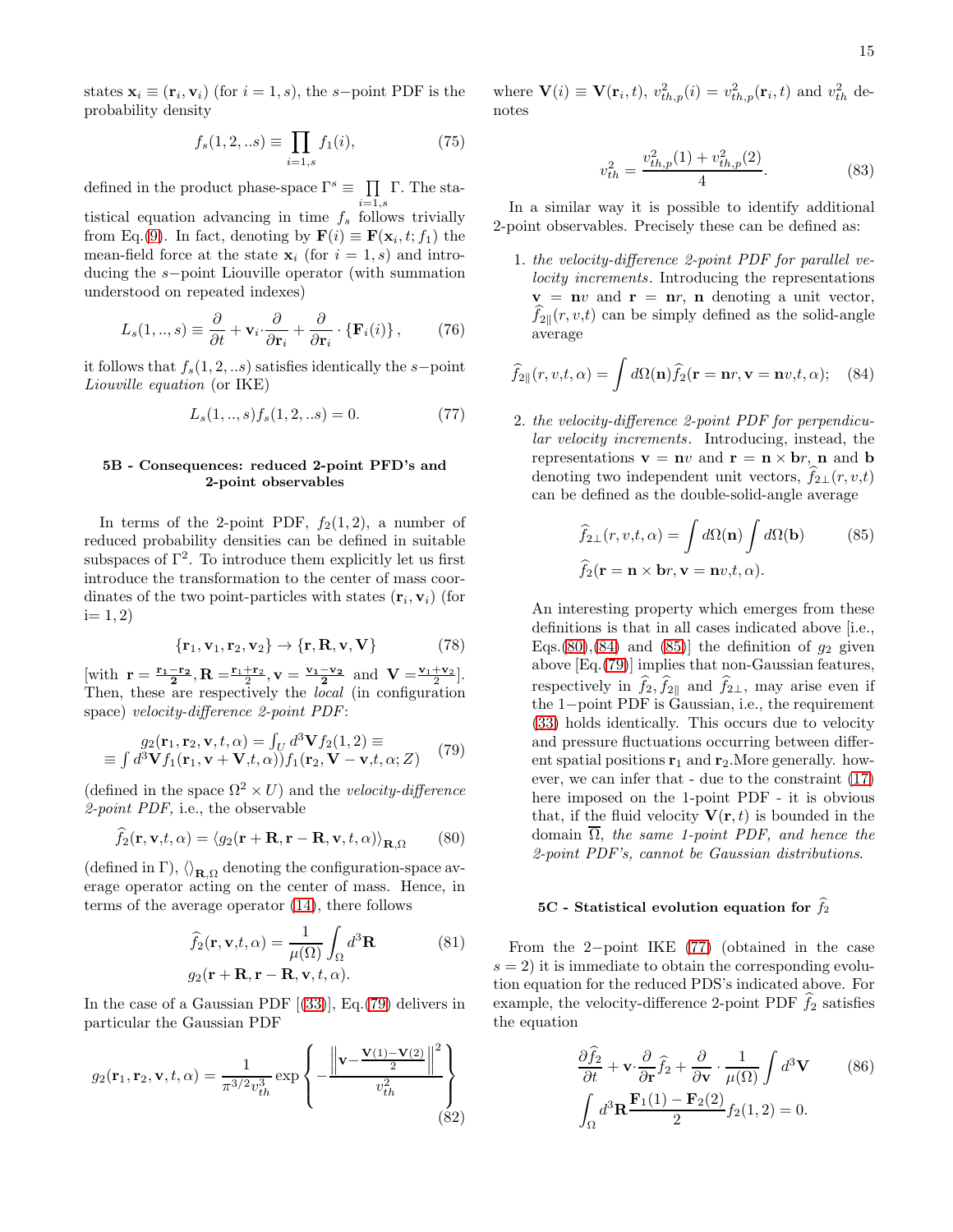states  $\mathbf{x}_i \equiv (\mathbf{r}_i, \mathbf{v}_i)$  (for  $i = 1, s$ ), the s-point PDF is the probability density

$$
f_s(1,2,..s) \equiv \prod_{i=1,s} f_1(i),\tag{75}
$$

defined in the product phase-space  $\Gamma^s \equiv \prod \Gamma$ . The sta- $_{i=1,s}$ 

tistical equation advancing in time  $f_s$  follows trivially from Eq.[\(9\)](#page-1-3). In fact, denoting by  $\mathbf{F}(i) \equiv \mathbf{F}(\mathbf{x}_i, t; f_1)$  the mean-field force at the state  $\mathbf{x}_i$  (for  $i = 1, s$ ) and introducing the s−point Liouville operator (with summation understood on repeated indexes)

$$
L_s(1,..,s) \equiv \frac{\partial}{\partial t} + \mathbf{v}_i \cdot \frac{\partial}{\partial \mathbf{r}_i} + \frac{\partial}{\partial \mathbf{r}_i} \cdot \{\mathbf{F}_i(i)\},\qquad(76)
$$

it follows that  $f_s(1, 2, \ldots s)$  satisfies identically the s−point Liouville equation (or IKE)

<span id="page-14-4"></span>
$$
L_s(1,..,s)f_s(1,2,..s) = 0.
$$
 (77)

### 5B - Consequences: reduced 2-point PFD's and 2-point observables

In terms of the 2-point PDF,  $f_2(1, 2)$ , a number of reduced probability densities can be defined in suitable subspaces of  $\Gamma^2$ . To introduce them explicitly let us first introduce the transformation to the center of mass coordinates of the two point-particles with states  $(\mathbf{r}_i, \mathbf{v}_i)$  (for  $i= 1, 2)$ 

$$
\{\mathbf r_1, \mathbf v_1, \mathbf r_2, \mathbf v_2\} \to \{\mathbf r, \mathbf R, \mathbf v, \mathbf V\} \tag{78}
$$

[with  $\mathbf{r} = \frac{\mathbf{r}_1 - \mathbf{r}_2}{2}, \mathbf{R} = \frac{\mathbf{r}_1 + \mathbf{r}_2}{2}, \mathbf{v} = \frac{\mathbf{v}_1 - \mathbf{v}_2}{2}$  and  $\mathbf{V} = \frac{\mathbf{v}_1 + \mathbf{v}_2}{2}$ ]. Then, these are respectively the *local* (in configuration space) velocity-difference 2-point PDF:

<span id="page-14-0"></span>
$$
g_2(\mathbf{r}_1, \mathbf{r}_2, \mathbf{v}, t, \alpha) = \int_U d^3 \mathbf{V} f_2(1, 2) \equiv
$$
  
 
$$
\equiv \int d^3 \mathbf{V} f_1(\mathbf{r}_1, \mathbf{v} + \mathbf{V}, t, \alpha)) f_1(\mathbf{r}_2, \mathbf{V} - \mathbf{v}, t, \alpha; Z)
$$
 (79)

(defined in the space  $\Omega^2 \times U$ ) and the *velocity-difference* 2-point PDF, i.e., the observable

<span id="page-14-1"></span>
$$
\widehat{f}_2(\mathbf{r}, \mathbf{v}, t, \alpha) = \langle g_2(\mathbf{r} + \mathbf{R}, \mathbf{r} - \mathbf{R}, \mathbf{v}, t, \alpha) \rangle_{\mathbf{R}, \Omega} \qquad (80)
$$

(defined in  $\Gamma$ ),  $\langle \rangle_{\mathbf{R},\Omega}$  denoting the configuration-space average operator acting on the center of mass. Hence, in terms of the average operator [\(14\)](#page-3-2), there follows

$$
\widehat{f}_2(\mathbf{r}, \mathbf{v}, t, \alpha) = \frac{1}{\mu(\Omega)} \int_{\Omega} d^3 \mathbf{R}
$$
\n(81)\n  
\n
$$
g_2(\mathbf{r} + \mathbf{R}, \mathbf{r} - \mathbf{R}, \mathbf{v}, t, \alpha).
$$

In the case of a Gaussian PDF[[\(33\)](#page-7-1)], Eq.[\(79\)](#page-14-0) delivers in particular the Gaussian PDF

$$
g_2(\mathbf{r}_1, \mathbf{r}_2, \mathbf{v}, t, \alpha) = \frac{1}{\pi^{3/2} v_{th}^3} \exp \left\{ -\frac{\left\| \mathbf{v} - \frac{\mathbf{V}(1) - \mathbf{V}(2)}{2} \right\|^2}{v_{th}^2} \right\}
$$
(82)

where  $\mathbf{V}(i) \equiv \mathbf{V}(\mathbf{r}_i, t)$ ,  $v_{th,p}^2(i) = v_{th,p}^2(\mathbf{r}_i, t)$  and  $v_{th}^2$  denotes

$$
v_{th}^2 = \frac{v_{th,p}^2(1) + v_{th,p}^2(2)}{4}.\tag{83}
$$

In a similar way it is possible to identify additional 2-point observables. Precisely these can be defined as:

1. the velocity-difference 2-point PDF for parallel ve*locity increments*. Introducing the representations  $v = nv$  and  $r = nr$ , n denoting a unit vector,  $f_{2\parallel}(r, v,t)$  can be simply defined as the solid-angle average

<span id="page-14-2"></span>
$$
\hat{f}_{2\parallel}(r,v,t,\alpha) = \int d\Omega(\mathbf{n}) \hat{f}_2(\mathbf{r} = \mathbf{n}r, \mathbf{v} = \mathbf{n}v, t, \alpha); \quad (84)
$$

2. the velocity-difference 2-point PDF for perpendicular velocity increments. Introducing, instead, the representations  $\mathbf{v} = \mathbf{n}v$  and  $\mathbf{r} = \mathbf{n} \times \mathbf{b}r$ , **n** and **b** denoting two independent unit vectors,  $f_{2\perp}(r, v,t)$ can be defined as the double-solid-angle average

<span id="page-14-3"></span>
$$
\hat{f}_{2\perp}(r, v, t, \alpha) = \int d\Omega(\mathbf{n}) \int d\Omega(\mathbf{b}) \qquad (85)
$$

$$
\hat{f}_2(\mathbf{r} = \mathbf{n} \times \mathbf{b}r, \mathbf{v} = \mathbf{n}v, t, \alpha).
$$

An interesting property which emerges from these definitions is that in all cases indicated above [i.e., Eqs.[\(80\)](#page-14-1),[\(84\)](#page-14-2) and [\(85\)](#page-14-3)] the definition of  $q_2$  given above [Eq.[\(79\)](#page-14-0)] implies that non-Gaussian features, respectively in  $f_2, f_{2\parallel}$  and  $f_{2\perp}$ , may arise even if the 1−point PDF is Gaussian, i.e., the requirement [\(33\)](#page-7-1) holds identically. This occurs due to velocity and pressure fluctuations occurring between different spatial positions  $r_1$  and  $r_2$ . More generally. however, we can infer that - due to the constraint [\(17\)](#page-3-0) here imposed on the 1-point PDF - it is obvious that, if the fluid velocity  $\mathbf{V}(\mathbf{r},t)$  is bounded in the domain  $\Omega$ , the same 1-point PDF, and hence the 2-point PDF's, cannot be Gaussian distributions.

# 5C - Statistical evolution equation for  $\widehat{f}_2$

From the 2−point IKE [\(77\)](#page-14-4) (obtained in the case  $s = 2$ ) it is immediate to obtain the corresponding evolution equation for the reduced PDS's indicated above. For example, the velocity-difference 2-point PDF  $f_2$  satisfies the equation

$$
\frac{\partial \hat{f}_2}{\partial t} + \mathbf{v} \cdot \frac{\partial}{\partial \mathbf{r}} \hat{f}_2 + \frac{\partial}{\partial \mathbf{v}} \cdot \frac{1}{\mu(\Omega)} \int d^3 \mathbf{V} \qquad (86)
$$

$$
\int_{\Omega} d^3 \mathbf{R} \frac{\mathbf{F}_1(1) - \mathbf{F}_2(2)}{2} f_2(1, 2) = 0.
$$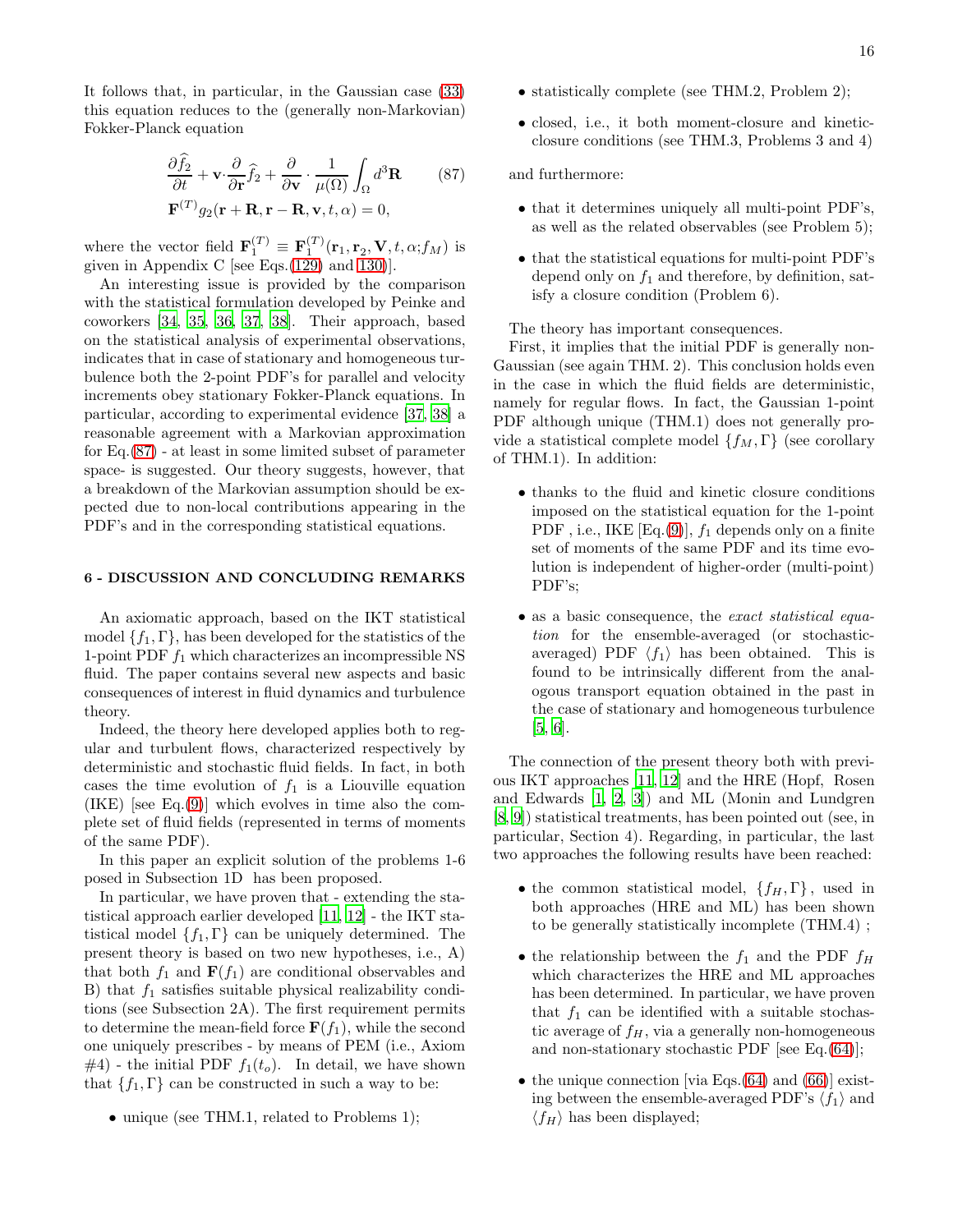It follows that, in particular, in the Gaussian case [\(33\)](#page-7-1) this equation reduces to the (generally non-Markovian) Fokker-Planck equation

<span id="page-15-0"></span>
$$
\frac{\partial \hat{f}_2}{\partial t} + \mathbf{v} \cdot \frac{\partial}{\partial \mathbf{r}} \hat{f}_2 + \frac{\partial}{\partial \mathbf{v}} \cdot \frac{1}{\mu(\Omega)} \int_{\Omega} d^3 \mathbf{R} \qquad (87)
$$

$$
\mathbf{F}^{(T)} g_2(\mathbf{r} + \mathbf{R}, \mathbf{r} - \mathbf{R}, \mathbf{v}, t, \alpha) = 0,
$$

where the vector field  $\mathbf{F}_1^{(T)} \equiv \mathbf{F}_1^{(T)}(\mathbf{r}_1, \mathbf{r}_2, \mathbf{V}, t, \alpha; f_M)$  is given in Appendix C [see Eqs.[\(129\)](#page-19-29) and [130\)](#page-19-30)].

An interesting issue is provided by the comparison with the statistical formulation developed by Peinke and coworkers [\[34,](#page-20-3) [35,](#page-20-4) [36](#page-20-5), [37,](#page-20-6) [38\]](#page-20-7). Their approach, based on the statistical analysis of experimental observations, indicates that in case of stationary and homogeneous turbulence both the 2-point PDF's for parallel and velocity increments obey stationary Fokker-Planck equations. In particular, according to experimental evidence [\[37](#page-20-6), [38\]](#page-20-7) a reasonable agreement with a Markovian approximation for Eq.[\(87\)](#page-15-0) - at least in some limited subset of parameter space- is suggested. Our theory suggests, however, that a breakdown of the Markovian assumption should be expected due to non-local contributions appearing in the PDF's and in the corresponding statistical equations.

### 6 - DISCUSSION AND CONCLUDING REMARKS

An axiomatic approach, based on the IKT statistical model  $\{f_1, \Gamma\}$ , has been developed for the statistics of the 1-point PDF  $f_1$  which characterizes an incompressible NS fluid. The paper contains several new aspects and basic consequences of interest in fluid dynamics and turbulence theory.

Indeed, the theory here developed applies both to regular and turbulent flows, characterized respectively by deterministic and stochastic fluid fields. In fact, in both cases the time evolution of  $f_1$  is a Liouville equation  $(IKE)$  [see Eq. $(9)$ ] which evolves in time also the complete set of fluid fields (represented in terms of moments of the same PDF).

In this paper an explicit solution of the problems 1-6 posed in Subsection 1D has been proposed.

In particular, we have proven that - extending the statistical approach earlier developed [\[11](#page-19-11), [12](#page-19-12)] - the IKT statistical model  $\{f_1, \Gamma\}$  can be uniquely determined. The present theory is based on two new hypotheses, i.e., A) that both  $f_1$  and  $\mathbf{F}(f_1)$  are conditional observables and B) that  $f_1$  satisfies suitable physical realizability conditions (see Subsection 2A). The first requirement permits to determine the mean-field force  $\mathbf{F}(f_1)$ , while the second one uniquely prescribes - by means of PEM (i.e., Axiom  $#4$ ) - the initial PDF  $f_1(t_o)$ . In detail, we have shown that  ${f_1, \Gamma}$  can be constructed in such a way to be:

• unique (see THM.1, related to Problems 1);

- statistically complete (see THM.2, Problem 2);
- closed, i.e., it both moment-closure and kineticclosure conditions (see THM.3, Problems 3 and 4)

and furthermore:

- that it determines uniquely all multi-point PDF's, as well as the related observables (see Problem 5);
- that the statistical equations for multi-point PDF's depend only on  $f_1$  and therefore, by definition, satisfy a closure condition (Problem 6).

The theory has important consequences.

First, it implies that the initial PDF is generally non-Gaussian (see again THM. 2). This conclusion holds even in the case in which the fluid fields are deterministic, namely for regular flows. In fact, the Gaussian 1-point PDF although unique (THM.1) does not generally provide a statistical complete model  $\{f_M, \Gamma\}$  (see corollary of THM.1). In addition:

- thanks to the fluid and kinetic closure conditions imposed on the statistical equation for the 1-point PDF, i.e., IKE  $[Eq.(9)], f_1$  $[Eq.(9)], f_1$  $[Eq.(9)], f_1$  depends only on a finite set of moments of the same PDF and its time evolution is independent of higher-order (multi-point) PDF's;
- as a basic consequence, the exact statistical equation for the ensemble-averaged (or stochasticaveraged) PDF  $\langle f_1 \rangle$  has been obtained. This is found to be intrinsically different from the analogous transport equation obtained in the past in the case of stationary and homogeneous turbulence [\[5,](#page-19-6) [6\]](#page-19-3).

The connection of the present theory both with previous IKT approaches [\[11,](#page-19-11) [12\]](#page-19-12) and the HRE (Hopf, Rosen and Edwards [\[1](#page-19-0), [2,](#page-19-1) [3](#page-19-2)]) and ML (Monin and Lundgren [\[8,](#page-19-8) [9](#page-19-9)]) statistical treatments, has been pointed out (see, in particular, Section 4). Regarding, in particular, the last two approaches the following results have been reached:

- the common statistical model,  $\{f_H, \Gamma\}$ , used in both approaches (HRE and ML) has been shown to be generally statistically incomplete (THM.4) ;
- the relationship between the  $f_1$  and the PDF  $f_H$ which characterizes the HRE and ML approaches has been determined. In particular, we have proven that  $f_1$  can be identified with a suitable stochastic average of  $f_H$ , via a generally non-homogeneous and non-stationary stochastic PDF [see Eq.[\(64\)](#page-12-3)];
- the unique connection [via Eqs. $(64)$  and  $(66)$ ] existing between the ensemble-averaged PDF's  $\langle f_1 \rangle$  and  $\langle f_H \rangle$  has been displayed;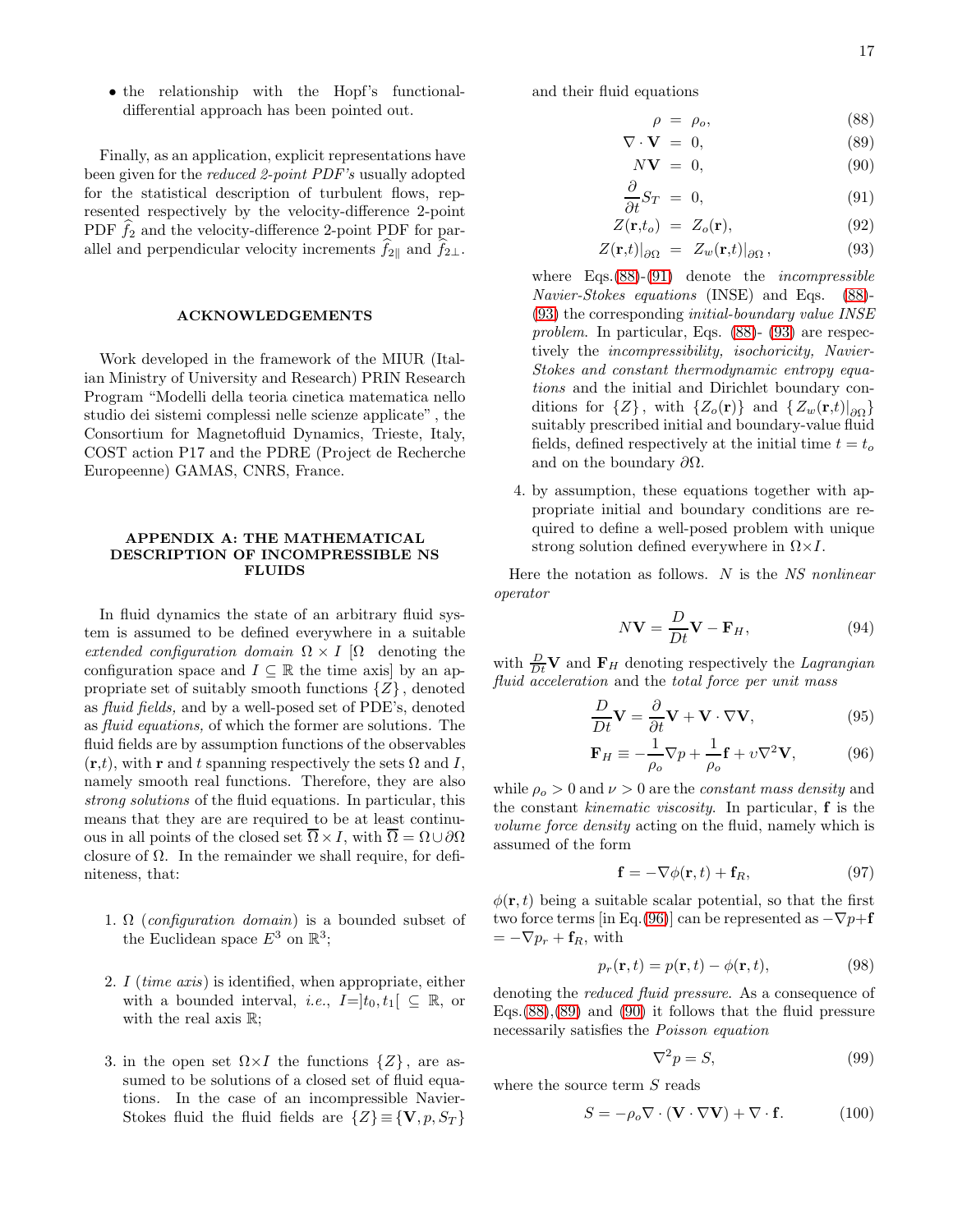• the relationship with the Hopf's functionaldifferential approach has been pointed out.

Finally, as an application, explicit representations have been given for the reduced 2-point PDF's usually adopted for the statistical description of turbulent flows, represented respectively by the velocity-difference 2-point PDF  $f_2$  and the velocity-difference 2-point PDF for parallel and perpendicular velocity increments  $f_{2\parallel}$  and  $f_{2\perp}$ .

# ACKNOWLEDGEMENTS

Work developed in the framework of the MIUR (Italian Ministry of University and Research) PRIN Research Program "Modelli della teoria cinetica matematica nello studio dei sistemi complessi nelle scienze applicate" , the Consortium for Magnetofluid Dynamics, Trieste, Italy, COST action P17 and the PDRE (Project de Recherche Europeenne) GAMAS, CNRS, France.

### APPENDIX A: THE MATHEMATICAL DESCRIPTION OF INCOMPRESSIBLE NS FLUIDS

In fluid dynamics the state of an arbitrary fluid system is assumed to be defined everywhere in a suitable extended configuration domain  $\Omega \times I$  [ $\Omega$  denoting the configuration space and  $I \subseteq \mathbb{R}$  the time axis by an appropriate set of suitably smooth functions  $\{Z\}$ , denoted as fluid fields, and by a well-posed set of PDE's, denoted as fluid equations, of which the former are solutions. The fluid fields are by assumption functions of the observables  $(\mathbf{r},t)$ , with r and t spanning respectively the sets  $\Omega$  and I, namely smooth real functions. Therefore, they are also strong solutions of the fluid equations. In particular, this means that they are are required to be at least continuous in all points of the closed set  $\overline{\Omega} \times I$ , with  $\overline{\Omega} = \Omega \cup \partial \Omega$ closure of  $\Omega$ . In the remainder we shall require, for definiteness, that:

- 1.  $\Omega$  (configuration domain) is a bounded subset of the Euclidean space  $E^3$  on  $\mathbb{R}^3$ ;
- 2. I (time axis) is identified, when appropriate, either with a bounded interval, *i.e.*,  $I=]t_0, t_1[ \subseteq \mathbb{R}$ , or with the real axis  $\mathbb{R}$ ;
- 3. in the open set  $\Omega \times I$  the functions  $\{Z\}$ , are assumed to be solutions of a closed set of fluid equations. In the case of an incompressible Navier-Stokes fluid the fluid fields are  $\{Z\} \equiv \{V, p, S_T\}$

and their fluid equations

<span id="page-16-2"></span>
$$
\rho = \rho_o,\tag{88}
$$

$$
\nabla \cdot \mathbf{V} = 0,\t(89)
$$

$$
N\mathbf{V} = 0,\t(90)
$$

$$
\frac{\partial}{\partial t} S_T = 0, \tag{91}
$$

$$
Z(\mathbf{r},t_o) = Z_o(\mathbf{r}), \qquad (92)
$$

$$
Z(\mathbf{r,}t)|_{\partial\Omega} = Z_w(\mathbf{r,}t)|_{\partial\Omega}, \qquad (93)
$$

where  $Eqs.(88)-(91)$  $Eqs.(88)-(91)$  $Eqs.(88)-(91)$  $Eqs.(88)-(91)$  denote the *incompressible* Navier-Stokes equations (INSE) and Eqs. [\(88\)](#page-16-2)- [\(93\)](#page-16-2) the corresponding initial-boundary value INSE problem. In particular, Eqs. [\(88\)](#page-16-2)- [\(93\)](#page-16-2) are respectively the incompressibility, isochoricity, Navier-Stokes and constant thermodynamic entropy equations and the initial and Dirichlet boundary conditions for  $\{Z\}$ , with  $\{Z_o(\mathbf{r})\}$  and  $\{Z_w(\mathbf{r},t)|_{\partial\Omega}\}$ suitably prescribed initial and boundary-value fluid fields, defined respectively at the initial time  $t = t<sub>o</sub>$ and on the boundary  $\partial\Omega$ .

4. by assumption, these equations together with appropriate initial and boundary conditions are required to define a well-posed problem with unique strong solution defined everywhere in  $\Omega \times I$ .

Here the notation as follows.  $N$  is the  $NS$  nonlinear operator

<span id="page-16-0"></span>
$$
N\mathbf{V} = \frac{D}{Dt}\mathbf{V} - \mathbf{F}_H, \qquad (94)
$$

with  $\frac{D}{Dt}$ **V** and **F**<sub>H</sub> denoting respectively the *Lagrangian* fluid acceleration and the total force per unit mass

<span id="page-16-1"></span>
$$
\frac{D}{Dt}\mathbf{V} = \frac{\partial}{\partial t}\mathbf{V} + \mathbf{V} \cdot \nabla \mathbf{V},\tag{95}
$$

$$
\mathbf{F}_H \equiv -\frac{1}{\rho_o} \nabla p + \frac{1}{\rho_o} \mathbf{f} + v \nabla^2 \mathbf{V},\tag{96}
$$

while  $\rho_o > 0$  and  $\nu > 0$  are the *constant mass density* and the constant kinematic viscosity. In particular, f is the volume force density acting on the fluid, namely which is assumed of the form

$$
\mathbf{f} = -\nabla \phi(\mathbf{r}, t) + \mathbf{f}_R,\tag{97}
$$

 $\phi(\mathbf{r}, t)$  being a suitable scalar potential, so that the first two force terms [in Eq.[\(96\)](#page-16-1)] can be represented as  $-\nabla p + \mathbf{f}$  $=-\nabla p_r + \mathbf{f}_R$ , with

$$
p_r(\mathbf{r},t) = p(\mathbf{r},t) - \phi(\mathbf{r},t),\tag{98}
$$

denoting the reduced fluid pressure. As a consequence of Eqs. $(88)$ , $(89)$  and  $(90)$  it follows that the fluid pressure necessarily satisfies the Poisson equation

$$
\nabla^2 p = S,\tag{99}
$$

where the source term  $S$  reads

$$
S = -\rho_o \nabla \cdot (\mathbf{V} \cdot \nabla \mathbf{V}) + \nabla \cdot \mathbf{f}.
$$
 (100)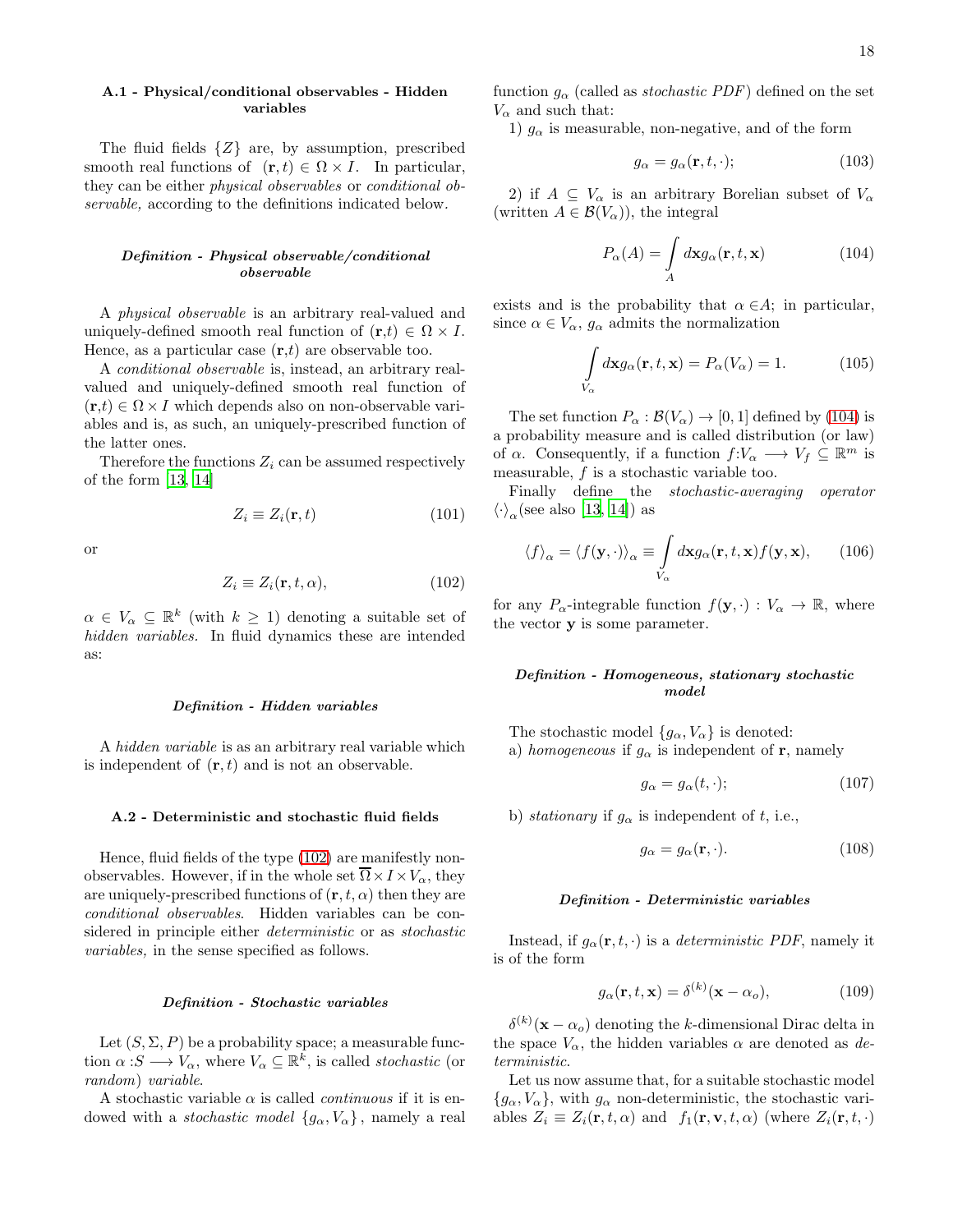# A.1 - Physical/conditional observables - Hidden variables

The fluid fields  $\{Z\}$  are, by assumption, prescribed smooth real functions of  $(\mathbf{r}, t) \in \Omega \times I$ . In particular, they can be either physical observables or conditional observable, according to the definitions indicated below.

# Definition - Physical observable/conditional observable

A physical observable is an arbitrary real-valued and uniquely-defined smooth real function of  $(\mathbf{r},t) \in \Omega \times I$ . Hence, as a particular case  $(\mathbf{r},t)$  are observable too.

A conditional observable is, instead, an arbitrary realvalued and uniquely-defined smooth real function of  $(\mathbf{r},t) \in \Omega \times I$  which depends also on non-observable variables and is, as such, an uniquely-prescribed function of the latter ones.

Therefore the functions  $Z_i$  can be assumed respectively of the form [\[13,](#page-19-5) [14\]](#page-19-13)

$$
Z_i \equiv Z_i(\mathbf{r}, t) \tag{101}
$$

or

<span id="page-17-1"></span>
$$
Z_i \equiv Z_i(\mathbf{r}, t, \alpha), \tag{102}
$$

 $\alpha \in V_{\alpha} \subseteq \mathbb{R}^k$  (with  $k \geq 1$ ) denoting a suitable set of hidden variables. In fluid dynamics these are intended as:

#### Definition - Hidden variables

A hidden variable is as an arbitrary real variable which is independent of  $(\mathbf{r}, t)$  and is not an observable.

#### A.2 - Deterministic and stochastic fluid fields

Hence, fluid fields of the type [\(102\)](#page-17-1) are manifestly nonobservables. However, if in the whole set  $\overline{\Omega} \times I \times V_{\alpha}$ , they are uniquely-prescribed functions of  $(\mathbf{r}, t, \alpha)$  then they are conditional observables. Hidden variables can be considered in principle either deterministic or as stochastic variables, in the sense specified as follows.

#### Definition - Stochastic variables

Let  $(S, \Sigma, P)$  be a probability space; a measurable function  $\alpha : S \longrightarrow V_{\alpha}$ , where  $V_{\alpha} \subseteq \mathbb{R}^k$ , is called *stochastic* (or random) variable.

A stochastic variable  $\alpha$  is called *continuous* if it is endowed with a *stochastic model*  ${g_{\alpha}, V_{\alpha}}$ , namely a real function  $g_{\alpha}$  (called as *stochastic PDF*) defined on the set  $V_{\alpha}$  and such that:

1)  $g_{\alpha}$  is measurable, non-negative, and of the form

$$
g_{\alpha} = g_{\alpha}(\mathbf{r}, t, \cdot); \tag{103}
$$

2) if  $A \subseteq V_\alpha$  is an arbitrary Borelian subset of  $V_\alpha$ (written  $A \in \mathcal{B}(V_{\alpha})$ ), the integral

<span id="page-17-2"></span>
$$
P_{\alpha}(A) = \int\limits_{A} d\mathbf{x} g_{\alpha}(\mathbf{r}, t, \mathbf{x}) \tag{104}
$$

exists and is the probability that  $\alpha \in A$ ; in particular, since  $\alpha \in V_{\alpha}, g_{\alpha}$  admits the normalization

$$
\int\limits_{V_{\alpha}} d\mathbf{x} g_{\alpha}(\mathbf{r}, t, \mathbf{x}) = P_{\alpha}(V_{\alpha}) = 1.
$$
\n(105)

The set function  $P_{\alpha} : \mathcal{B}(V_{\alpha}) \to [0, 1]$  defined by [\(104\)](#page-17-2) is a probability measure and is called distribution (or law) of  $\alpha$ . Consequently, if a function  $f: V_{\alpha} \longrightarrow V_f \subseteq \mathbb{R}^m$  is measurable, f is a stochastic variable too.

Finally define the stochastic-averaging operator  $\langle \cdot \rangle_{\alpha}$ (see also [\[13,](#page-19-5) [14\]](#page-19-13)) as

<span id="page-17-0"></span>
$$
\langle f \rangle_{\alpha} = \langle f(\mathbf{y}, \cdot) \rangle_{\alpha} \equiv \int\limits_{V_{\alpha}} d\mathbf{x} g_{\alpha}(\mathbf{r}, t, \mathbf{x}) f(\mathbf{y}, \mathbf{x}), \qquad (106)
$$

for any  $P_{\alpha}$ -integrable function  $f(\mathbf{y},\cdot): V_{\alpha} \to \mathbb{R}$ , where the vector y is some parameter.

# Definition - Homogeneous, stationary stochastic model

The stochastic model  $\{g_{\alpha}, V_{\alpha}\}\)$  is denoted: a) homogeneous if  $g_{\alpha}$  is independent of r, namely

$$
g_{\alpha} = g_{\alpha}(t, \cdot); \tag{107}
$$

b) stationary if  $g_{\alpha}$  is independent of t, i.e.,

$$
g_{\alpha} = g_{\alpha}(\mathbf{r}, \cdot). \tag{108}
$$

#### Definition - Deterministic variables

Instead, if  $g_{\alpha}(\mathbf{r}, t, \cdot)$  is a *deterministic PDF*, namely it is of the form

$$
g_{\alpha}(\mathbf{r}, t, \mathbf{x}) = \delta^{(k)}(\mathbf{x} - \alpha_o), \tag{109}
$$

 $\delta^{(k)}(\mathbf{x}-\alpha_o)$  denoting the k-dimensional Dirac delta in the space  $V_{\alpha}$ , the hidden variables  $\alpha$  are denoted as deterministic.

Let us now assume that, for a suitable stochastic model  ${g_{\alpha}, V_{\alpha}}$ , with  $g_{\alpha}$  non-deterministic, the stochastic variables  $Z_i \equiv Z_i(\mathbf{r}, t, \alpha)$  and  $f_1(\mathbf{r}, \mathbf{v}, t, \alpha)$  (where  $Z_i(\mathbf{r}, t, \cdot)$ )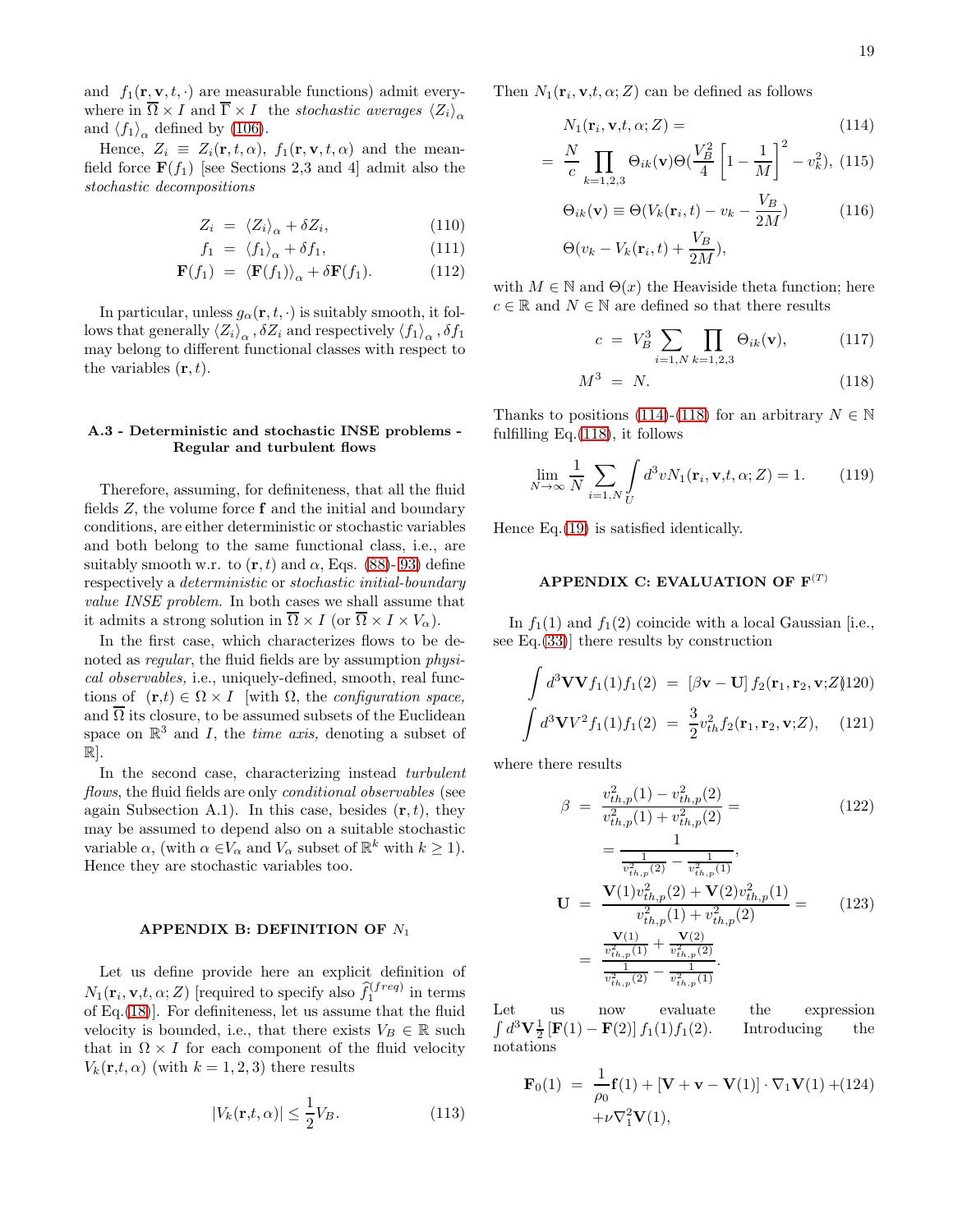and  $f_1(\mathbf{r}, \mathbf{v}, t, \cdot)$  are measurable functions) admit everywhere in  $\overline{\Omega} \times I$  and  $\overline{\Gamma} \times I$  the stochastic averages  $\langle Z_i \rangle_{\alpha}$ and  $\langle f_1 \rangle_\alpha$  defined by [\(106\)](#page-17-0).

Hence,  $Z_i \equiv Z_i(\mathbf{r}, t, \alpha)$ ,  $f_1(\mathbf{r}, \mathbf{v}, t, \alpha)$  and the meanfield force  $\mathbf{F}(f_1)$  [see Sections 2,3 and 4] admit also the stochastic decompositions

<span id="page-18-2"></span>
$$
Z_i = \langle Z_i \rangle_\alpha + \delta Z_i, \tag{110}
$$

$$
f_1 = \langle f_1 \rangle_\alpha + \delta f_1,\tag{111}
$$

$$
\mathbf{F}(f_1) = \langle \mathbf{F}(f_1) \rangle_{\alpha} + \delta \mathbf{F}(f_1). \tag{112}
$$

In particular, unless  $g_{\alpha}(\mathbf{r}, t, \cdot)$  is suitably smooth, it follows that generally  $\langle Z_i \rangle_\alpha$ ,  $\delta Z_i$  and respectively  $\langle f_1 \rangle_\alpha$ ,  $\delta f_1$ may belong to different functional classes with respect to the variables  $(\mathbf{r}, t)$ .

### A.3 - Deterministic and stochastic INSE problems - Regular and turbulent flows

Therefore, assuming, for definiteness, that all the fluid fields Z, the volume force f and the initial and boundary conditions, are either deterministic or stochastic variables and both belong to the same functional class, i.e., are suitably smooth w.r. to  $(\mathbf{r}, t)$  and  $\alpha$ , Eqs. [\(88\)](#page-16-2)- [93\)](#page-16-2) define respectively a deterministic or stochastic initial-boundary value INSE problem. In both cases we shall assume that it admits a strong solution in  $\overline{\Omega} \times I$  (or  $\overline{\Omega} \times I \times V_{\alpha}$ ).

In the first case, which characterizes flows to be denoted as *regular*, the fluid fields are by assumption *physi*cal observables, i.e., uniquely-defined, smooth, real functions of  $(\mathbf{r},t) \in \Omega \times I$  with  $\Omega$ , the configuration space, and  $\overline{\Omega}$  its closure, to be assumed subsets of the Euclidean space on  $\mathbb{R}^3$  and I, the *time axis*, denoting a subset of  $\mathbb{R}$ .

In the second case, characterizing instead turbulent flows, the fluid fields are only *conditional observables* (see again Subsection A.1). In this case, besides  $(\mathbf{r}, t)$ , they may be assumed to depend also on a suitable stochastic variable  $\alpha$ , (with  $\alpha \in V_{\alpha}$  and  $V_{\alpha}$  subset of  $\mathbb{R}^k$  with  $k \geq 1$ ). Hence they are stochastic variables too.

#### APPENDIX B: DEFINITION OF  $N_1$

Let us define provide here an explicit definition of  $N_1(\mathbf{r}_i, \mathbf{v}, t, \alpha; Z)$  [required to specify also  $\widehat{f}_1^{(freq)}$  in terms of Eq.[\(18\)](#page-3-3)]. For definiteness, let us assume that the fluid velocity is bounded, i.e., that there exists  $V_B \in \mathbb{R}$  such that in  $\Omega \times I$  for each component of the fluid velocity  $V_k(\mathbf{r},t,\alpha)$  (with  $k=1,2,3$ ) there results

$$
|V_k(\mathbf{r,}t,\alpha)| \le \frac{1}{2}V_B.
$$
\n(113)

Then  $N_1(\mathbf{r}_i, \mathbf{v}, t, \alpha; Z)$  can be defined as follows

$$
N_1(\mathbf{r}_i, \mathbf{v}, t, \alpha; Z) = \tag{114}
$$

<span id="page-18-0"></span>
$$
= \frac{N}{c} \prod_{k=1,2,3} \Theta_{ik}(\mathbf{v}) \Theta\left(\frac{V_B^2}{4} \left[1 - \frac{1}{M}\right]^2 - v_k^2\right), \ (115)
$$

$$
\Theta_{ik}(\mathbf{v}) \equiv \Theta(V_k(\mathbf{r}_i, t) - v_k - \frac{V_B}{2M})
$$
\n
$$
\Theta(v_k - V_k(\mathbf{r}_i, t) + \frac{V_B}{2M}),
$$
\n(116)

with  $M \in \mathbb{N}$  and  $\Theta(x)$  the Heaviside theta function; here  $c \in \mathbb{R}$  and  $N \in \mathbb{N}$  are defined so that there results

<span id="page-18-1"></span>
$$
c = V_B^3 \sum_{i=1,N} \prod_{k=1,2,3} \Theta_{ik}(\mathbf{v}), \tag{117}
$$

$$
M^3 = N. \tag{118}
$$

Thanks to positions [\(114\)](#page-18-0)-[\(118\)](#page-18-1) for an arbitrary  $N \in \mathbb{N}$ fulfilling Eq.[\(118\)](#page-18-1), it follows

$$
\lim_{N \to \infty} \frac{1}{N} \sum_{i=1,N} \int_{U} d^3 v N_1(\mathbf{r}_i, \mathbf{v}, t, \alpha; Z) = 1.
$$
 (119)

Hence Eq.[\(19\)](#page-4-5) is satisfied identically.

# APPENDIX C: EVALUATION OF  $F^{(T)}$

In  $f_1(1)$  and  $f_1(2)$  coincide with a local Gaussian [i.e., see Eq.[\(33\)](#page-7-1)] there results by construction

$$
\int d^3 \mathbf{V} \mathbf{V} f_1(1) f_1(2) = [\beta \mathbf{v} - \mathbf{U}] f_2(\mathbf{r}_1, \mathbf{r}_2, \mathbf{v}; Z)]
$$

$$
\int d^3 \mathbf{V} V^2 f_1(1) f_1(2) = \frac{3}{2} v_{th}^2 f_2(\mathbf{r}_1, \mathbf{r}_2, \mathbf{v}; Z), \quad (121)
$$

where there results

$$
\beta = \frac{v_{th,p}^2(1) - v_{th,p}^2(2)}{v_{th,p}^2(1) + v_{th,p}^2(2)} = \tag{122}
$$

$$
= \frac{1}{\frac{1}{v_{th,p}^2(2)} - \frac{1}{v_{th,p}^2(1)}},
$$
  
\n
$$
\mathbf{U} = \frac{\mathbf{V}(1)v_{th,p}^2(2) + \mathbf{V}(2)v_{th,p}^2(1)}{v_{th,p}^2(1) + v_{th,p}^2(2)} = (123)
$$
  
\n
$$
= \frac{\mathbf{V}(1)}{\frac{v_{th,p}^2(1)}{v_{th,p}^2(2)} - \frac{1}{v_{th,p}^2(1)}}.
$$

Let us now evaluate the expression  $\int d^3 \mathbf{V} \frac{1}{2} [\mathbf{F}(1) - \mathbf{F}(2)] f_1(1) f_1(2)$ . Introducing the notations

$$
\mathbf{F}_0(1) = \frac{1}{\rho_0} \mathbf{f}(1) + [\mathbf{V} + \mathbf{v} - \mathbf{V}(1)] \cdot \nabla_1 \mathbf{V}(1) + (124) + \nu \nabla_1^2 \mathbf{V}(1),
$$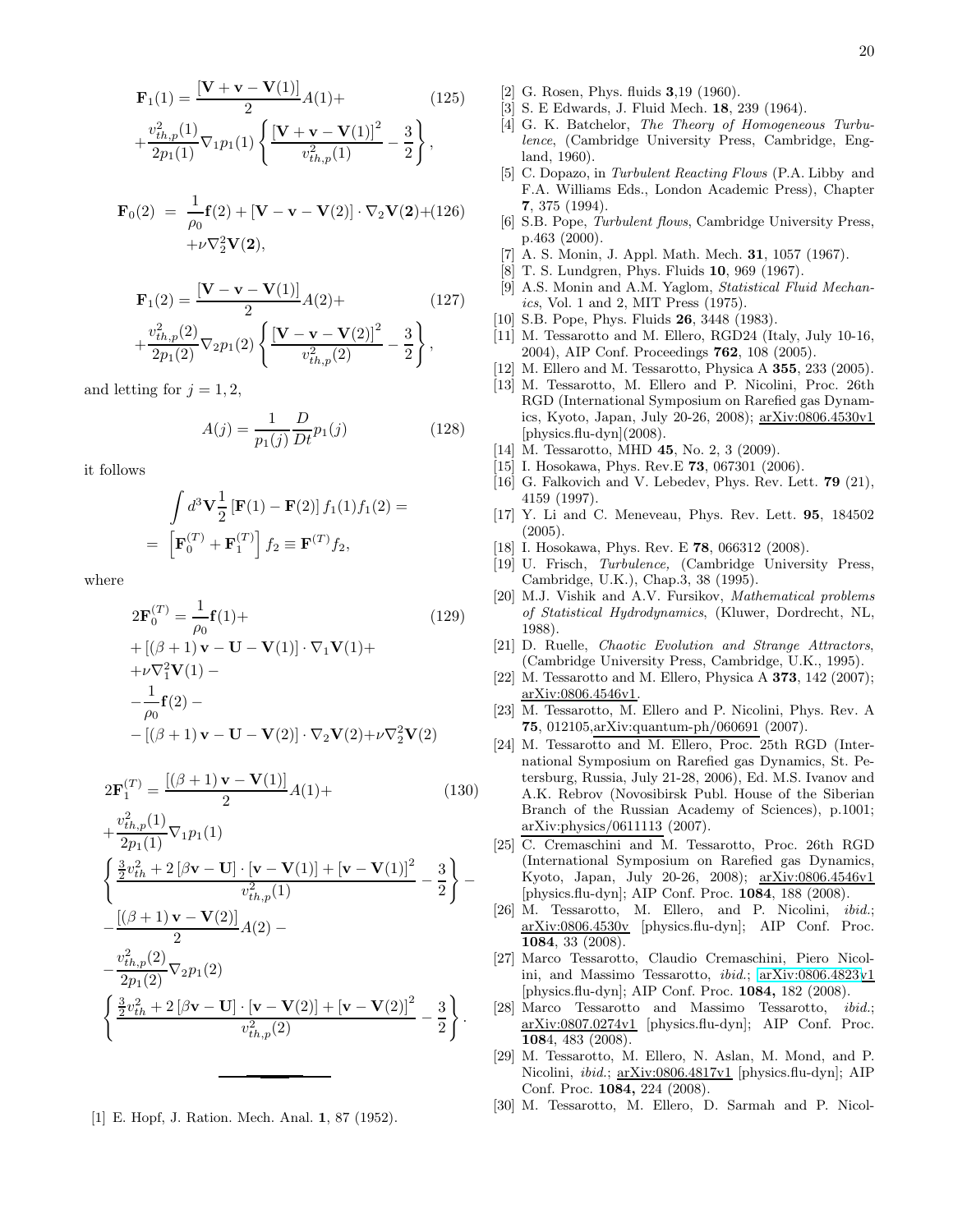$$
\mathbf{F}_1(1) = \frac{[\mathbf{V} + \mathbf{v} - \mathbf{V}(1)]}{2} A(1) +
$$
\n
$$
v_{th,p}^2(1) = \int [\mathbf{V} + \mathbf{v} - \mathbf{V}(1)]^2 \quad 3 \tag{125}
$$

$$
+\frac{v_{th,p}^{2}(1)}{2p_{1}(1)}\nabla_{1}p_{1}(1)\left\{\frac{\left[\mathbf{V+v-V}(1)\right]^{2}}{v_{th,p}^{2}(1)}-\frac{3}{2}\right\},\right
$$

$$
\mathbf{F}_0(2) = \frac{1}{\rho_0} \mathbf{f}(2) + [\mathbf{V} - \mathbf{v} - \mathbf{V}(2)] \cdot \nabla_2 \mathbf{V}(2) + (126) + \nu \nabla_2^2 \mathbf{V}(2),
$$

$$
\mathbf{F}_1(2) = \frac{[\mathbf{V} - \mathbf{v} - \mathbf{V}(1)]}{2} A(2) +
$$
\n
$$
+ \frac{v_{th,p}^2(2)}{2p_1(2)} \nabla_2 p_1(2) \left\{ \frac{[\mathbf{V} - \mathbf{v} - \mathbf{V}(2)]^2}{v_{th,p}^2(2)} - \frac{3}{2} \right\},
$$
\n(127)

and letting for  $j = 1, 2$ ,

$$
A(j) = \frac{1}{p_1(j)} \frac{D}{Dt} p_1(j)
$$
 (128)

it follows

$$
\int d^3 \mathbf{V} \frac{1}{2} \left[ \mathbf{F}(1) - \mathbf{F}(2) \right] f_1(1) f_1(2) =
$$
\n
$$
= \left[ \mathbf{F}_0^{(T)} + \mathbf{F}_1^{(T)} \right] f_2 \equiv \mathbf{F}^{(T)} f_2,
$$

where

<span id="page-19-29"></span>
$$
2\mathbf{F}_0^{(T)} = \frac{1}{\rho_0} \mathbf{f}(1) +
$$
\n
$$
+ [(\beta + 1)\mathbf{v} - \mathbf{U} - \mathbf{V}(1)] \cdot \nabla_1 \mathbf{V}(1) +
$$
\n
$$
+ \nu \nabla_1^2 \mathbf{V}(1) -
$$
\n
$$
-\frac{1}{\rho_0} \mathbf{f}(2) -
$$
\n
$$
- [(\beta + 1)\mathbf{v} - \mathbf{U} - \mathbf{V}(2)] \cdot \nabla_2 \mathbf{V}(2) + \nu \nabla_2^2 \mathbf{V}(2)
$$
\n(129)

<span id="page-19-30"></span>
$$
2\mathbf{F}_1^{(T)} = \frac{[(\beta+1)\mathbf{v} - \mathbf{V}(1)]}{2}A(1) +
$$
\n(130)

$$
+\frac{v_{th,p}^{2}(1)}{2p_{1}(1)}\nabla_{1}p_{1}(1)
$$
\n
$$
\left\{\frac{\frac{3}{2}v_{th}^{2} + 2\left[\beta\mathbf{v} - \mathbf{U}\right] \cdot \left[\mathbf{v} - \mathbf{V}(1)\right] + \left[\mathbf{v} - \mathbf{V}(1)\right]^{2}}{v_{th,p}^{2}(1)} - \frac{3}{2}\right\} - \frac{\left[\left(\beta + 1\right)\mathbf{v} - \mathbf{V}(2)\right]}{2}A(2) - \frac{v_{th,p}^{2}(2)}{2p_{1}(2)}\nabla_{2}p_{1}(2)
$$
\n
$$
\left\{\frac{\frac{3}{2}v_{th}^{2} + 2\left[\beta\mathbf{v} - \mathbf{U}\right] \cdot \left[\mathbf{v} - \mathbf{V}(2)\right] + \left[\mathbf{v} - \mathbf{V}(2)\right]^{2}}{v_{th,p}^{2}(2)} - \frac{3}{2}\right\}.
$$

<span id="page-19-0"></span>[1] E. Hopf, J. Ration. Mech. Anal. 1, 87 (1952).

- <span id="page-19-1"></span>[2] G. Rosen, Phys. fluids 3,19 (1960).
- <span id="page-19-2"></span>[3] S. E Edwards, J. Fluid Mech. 18, 239 (1964).
- <span id="page-19-4"></span>[4] G. K. Batchelor, The Theory of Homogeneous Turbulence, (Cambridge University Press, Cambridge, England, 1960).
- <span id="page-19-6"></span>[5] C. Dopazo, in Turbulent Reacting Flows (P.A. Libby and F.A. Williams Eds., London Academic Press), Chapter 7, 375 (1994).
- <span id="page-19-3"></span>[6] S.B. Pope, Turbulent flows, Cambridge University Press, p.463 (2000).
- <span id="page-19-7"></span>A. S. Monin, J. Appl. Math. Mech. **31**, 1057 (1967).
- <span id="page-19-8"></span>[8] T. S. Lundgren, Phys. Fluids 10, 969 (1967).
- <span id="page-19-9"></span>[9] A.S. Monin and A.M. Yaglom, *Statistical Fluid Mechan*ics, Vol. 1 and 2, MIT Press (1975).
- <span id="page-19-10"></span>[10] S.B. Pope, Phys. Fluids **26**, 3448 (1983).
- <span id="page-19-11"></span>[11] M. Tessarotto and M. Ellero, RGD24 (Italy, July 10-16, 2004), AIP Conf. Proceedings 762, 108 (2005).
- <span id="page-19-12"></span>[12] M. Ellero and M. Tessarotto, Physica A 355, 233 (2005).
- <span id="page-19-5"></span>[13] M. Tessarotto, M. Ellero and P. Nicolini, Proc. 26th RGD (International Symposium on Rarefied gas Dynamics, Kyoto, Japan, July 20-26, 2008); arXiv:0806.4530v1  $[physics.flu-dyn](2008).$
- <span id="page-19-13"></span>[14] M. Tessarotto, MHD **45**, No. 2, 3 (2009).
- <span id="page-19-14"></span>[15] I. Hosokawa, Phys. Rev.E **73**, 067301 (2006).
- <span id="page-19-15"></span>[16] G. Falkovich and V. Lebedev, Phys. Rev. Lett. **79** (21), 4159 (1997).
- [17] Y. Li and C. Meneveau, Phys. Rev. Lett. 95, 184502 (2005).
- <span id="page-19-16"></span>[18] I. Hosokawa, Phys. Rev. E **78**, 066312 (2008).
- <span id="page-19-26"></span>[19] U. Frisch, Turbulence, (Cambridge University Press, Cambridge, U.K.), Chap.3, 38 (1995).
- <span id="page-19-27"></span>[20] M.J. Vishik and A.V. Fursikov, Mathematical problems of Statistical Hydrodynamics, (Kluwer, Dordrecht, NL, 1988).
- <span id="page-19-28"></span>[21] D. Ruelle, *Chaotic Evolution and Strange Attractors*, (Cambridge University Press, Cambridge, U.K., 1995).
- <span id="page-19-17"></span>[22] M. Tessarotto and M. Ellero, Physica A **373**, 142 (2007); arXiv:0806.4546v1.
- <span id="page-19-18"></span>[23] M. Tessarotto, M. Ellero and P. Nicolini, Phys. Rev. A 75, 012105,arXiv:quantum-ph/060691 (2007).
- <span id="page-19-19"></span>[24] M. Tessarotto and M. Ellero, Proc. 25th RGD (International Symposium on Rarefied gas Dynamics, St. Petersburg, Russia, July 21-28, 2006), Ed. M.S. Ivanov and A.K. Rebrov (Novosibirsk Publ. House of the Siberian Branch of the Russian Academy of Sciences), p.1001; arXiv:physics/0611113 (2007).
- <span id="page-19-20"></span>[25] C. Cremaschini and M. Tessarotto, Proc. 26th RGD (International Symposium on Rarefied gas Dynamics, Kyoto, Japan, July 20-26, 2008); arXiv:0806.4546v1 [physics.flu-dyn]; AIP Conf. Proc. 1084, 188 (2008).
- <span id="page-19-21"></span>[26] M. Tessarotto, M. Ellero, and P. Nicolini, *ibid.*; arXiv:0806.4530v [physics.flu-dyn]; AIP Conf. Proc. 1084, 33 (2008).
- <span id="page-19-22"></span>[27] Marco Tessarotto, Claudio Cremaschini, Piero Nicolini, and Massimo Tessarotto, ibid.; [arXiv:0806.4823v](http://arxiv.org/abs/0806.4823)1 [physics.flu-dyn]; AIP Conf. Proc. 1084, 182 (2008).
- <span id="page-19-23"></span>[28] Marco Tessarotto and Massimo Tessarotto, ibid.; arXiv:0807.0274v1 [physics.flu-dyn]; AIP Conf. Proc. 1084, 483 (2008).
- <span id="page-19-24"></span>[29] M. Tessarotto, M. Ellero, N. Aslan, M. Mond, and P. Nicolini, ibid.; arXiv:0806.4817v1 [physics.flu-dyn]; AIP Conf. Proc. 1084, 224 (2008).
- <span id="page-19-25"></span>[30] M. Tessarotto, M. Ellero, D. Sarmah and P. Nicol-